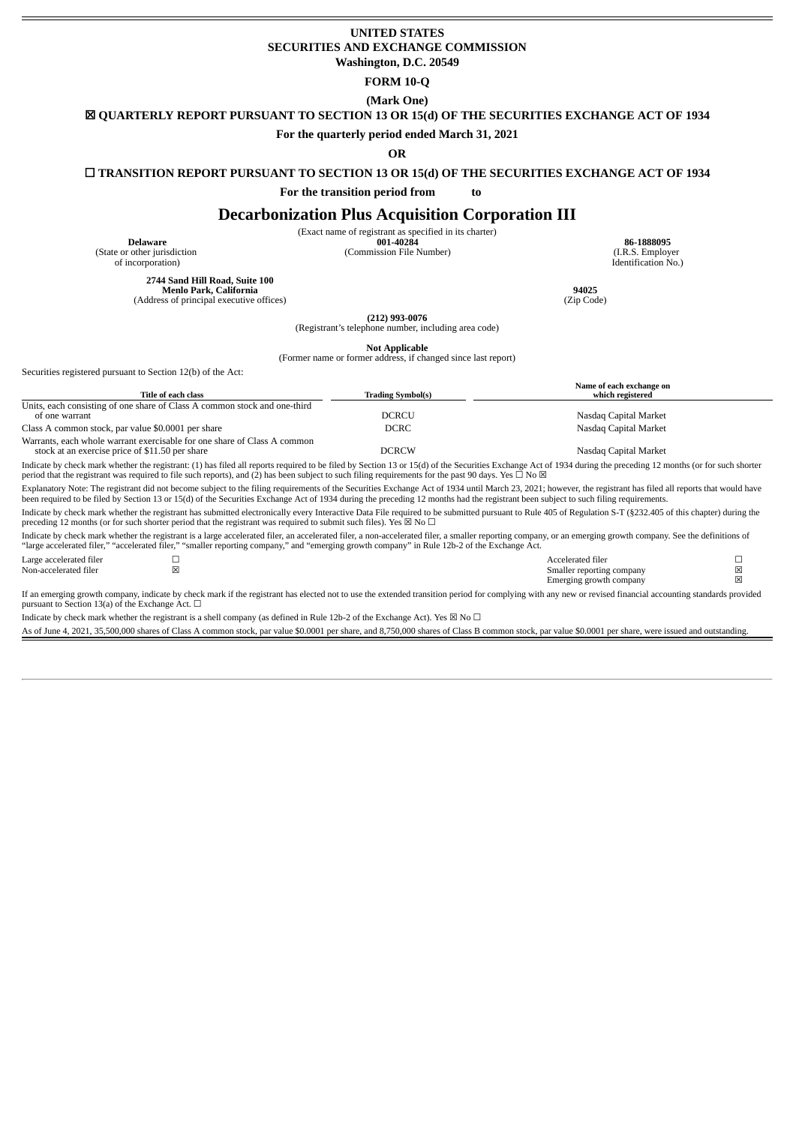## **UNITED STATES SECURITIES AND EXCHANGE COMMISSION Washington, D.C. 20549**

#### **FORM 10-Q**

**(Mark One)**

☒ **QUARTERLY REPORT PURSUANT TO SECTION 13 OR 15(d) OF THE SECURITIES EXCHANGE ACT OF 1934**

## **For the quarterly period ended March 31, 2021**

**OR**

## ☐ **TRANSITION REPORT PURSUANT TO SECTION 13 OR 15(d) OF THE SECURITIES EXCHANGE ACT OF 1934**

**For the transition period from to**

# **Decarbonization Plus Acquisition Corporation III**

(Exact name of registrant as specified in its charter)<br> $001-40284$ 

(Commission File Number) (I.R.S. Employer

**Delaware 001-40284 86-1888095** Identification No.)

**2744 Sand Hill Road, Suite 100 Menlo Park, California 94025** (Address of principal executive offices)

**(212) 993-0076**

(Registrant's telephone number, including area code)

**Not Applicable** (Former name or former address, if changed since last report)

Securities registered pursuant to Section 12(b) of the Act:

(State or other jurisdiction of incorporation)

| Title of each class                                                                                                                                                                                                                                                                                                                                                                    | <b>Trading Symbol(s)</b> | Name of each exchange on<br>which registered |
|----------------------------------------------------------------------------------------------------------------------------------------------------------------------------------------------------------------------------------------------------------------------------------------------------------------------------------------------------------------------------------------|--------------------------|----------------------------------------------|
| Units, each consisting of one share of Class A common stock and one-third                                                                                                                                                                                                                                                                                                              |                          |                                              |
| of one warrant                                                                                                                                                                                                                                                                                                                                                                         | <b>DCRCU</b>             | Nasdaq Capital Market                        |
| Class A common stock, par value \$0.0001 per share                                                                                                                                                                                                                                                                                                                                     | <b>DCRC</b>              | Nasdag Capital Market                        |
| Warrants, each whole warrant exercisable for one share of Class A common<br>stock at an exercise price of \$11.50 per share                                                                                                                                                                                                                                                            | <b>DCRCW</b>             | Nasdag Capital Market                        |
| Indicate by check mark whether the registrant: (1) has filed all reports required to be filed by Section 13 or 15(d) of the Securities Exchange Act of 1934 during the preceding 12 months (or for such shorter<br>period that the registrant was required to file such reports), and (2) has been subject to such filing requirements for the past 90 days. Yes $\Box$ No $\boxtimes$ |                          |                                              |

Explanatory Note: The registrant did not become subject to the filing requirements of the Securities Exchange Act of 1934 until March 23, 2021; however, the registrant has filed all reports that would have been required to be filed by Section 13 or 15(d) of the Securities Exchange Act of 1934 during the preceding 12 months had the registrant been subject to such filing requirements.

Indicate by check mark whether the registrant has submitted electronically every Interactive Data File required to be submitted pursuant to Rule 405 of Regulation S-T (§232.405 of this chapter) during the preceding 12 months (or for such shorter period that the registrant was required to submit such files). Yes  $\boxtimes$  No  $\Box$ 

Indicate by check mark whether the registrant is a large accelerated filer, an accelerated filer, a non-accelerated filer, a smaller reporting company, or an emerging growth company. See the definitions of "large accelerated filer," "accelerated filer," "smaller reporting company," and "emerging growth company" in Rule 12b-2 of the Exchange Act.

Large accelerated filer ☐ Accelerated filer ☐ Smaller reporting company  $\boxtimes$ <br>Emerging growth company  $\boxtimes$ Emerging growth company

If an emerging growth company, indicate by check mark if the registrant has elected not to use the extended transition period for complying with any new or revised financial accounting standards provided pursuant to Section  $13(a)$  of the Exchange Act.  $□$ 

Indicate by check mark whether the registrant is a shell company (as defined in Rule 12b-2 of the Exchange Act). Yes  $\boxtimes$  No  $\Box$ 

As of June 4, 2021, 35,500,000 shares of Class A common stock, par value \$0.0001 per share, and 8,750,000 shares of Class B common stock, par value \$0.0001 per share, were issued and outstanding.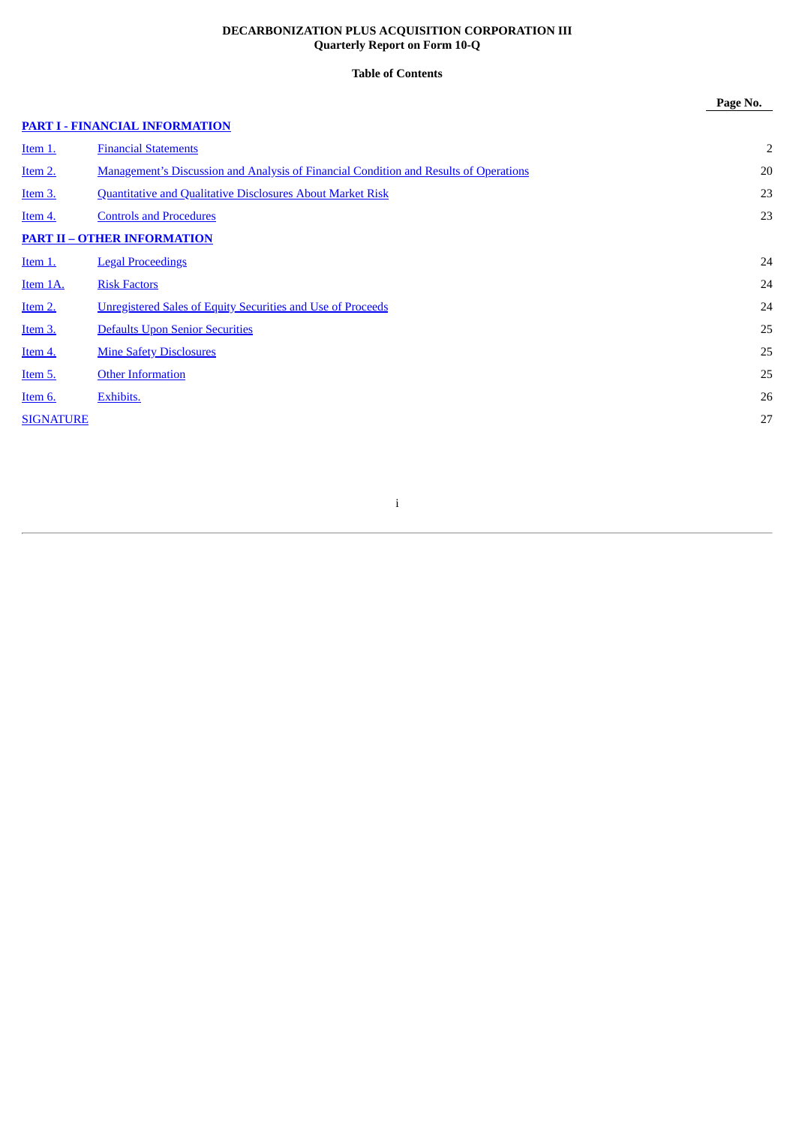# **DECARBONIZATION PLUS ACQUISITION CORPORATION III Quarterly Report on Form 10-Q**

# **Table of Contents**

**Page No.**

# **PART I - FINANCIAL [INFORMATION](#page-2-0)**

| Item 1.          | <b>Financial Statements</b>                                                           | $\overline{2}$ |
|------------------|---------------------------------------------------------------------------------------|----------------|
| Item 2.          | Management's Discussion and Analysis of Financial Condition and Results of Operations | 20             |
| Item 3.          | <b>Quantitative and Qualitative Disclosures About Market Risk</b>                     | 23             |
| Item 4.          | <b>Controls and Procedures</b>                                                        | 23             |
|                  | <b>PART II – OTHER INFORMATION</b>                                                    |                |
| <u>Item 1.</u>   | <b>Legal Proceedings</b>                                                              | 24             |
| Item 1A.         | <b>Risk Factors</b>                                                                   | 24             |
| Item 2.          | <b>Unregistered Sales of Equity Securities and Use of Proceeds</b>                    | 24             |
| Item 3.          | <b>Defaults Upon Senior Securities</b>                                                | 25             |
| Item 4.          | <b>Mine Safety Disclosures</b>                                                        | 25             |
| Item 5.          | <b>Other Information</b>                                                              | 25             |
| Item 6.          | Exhibits.                                                                             | 26             |
| <b>SIGNATURE</b> |                                                                                       | 27             |
|                  |                                                                                       |                |

# i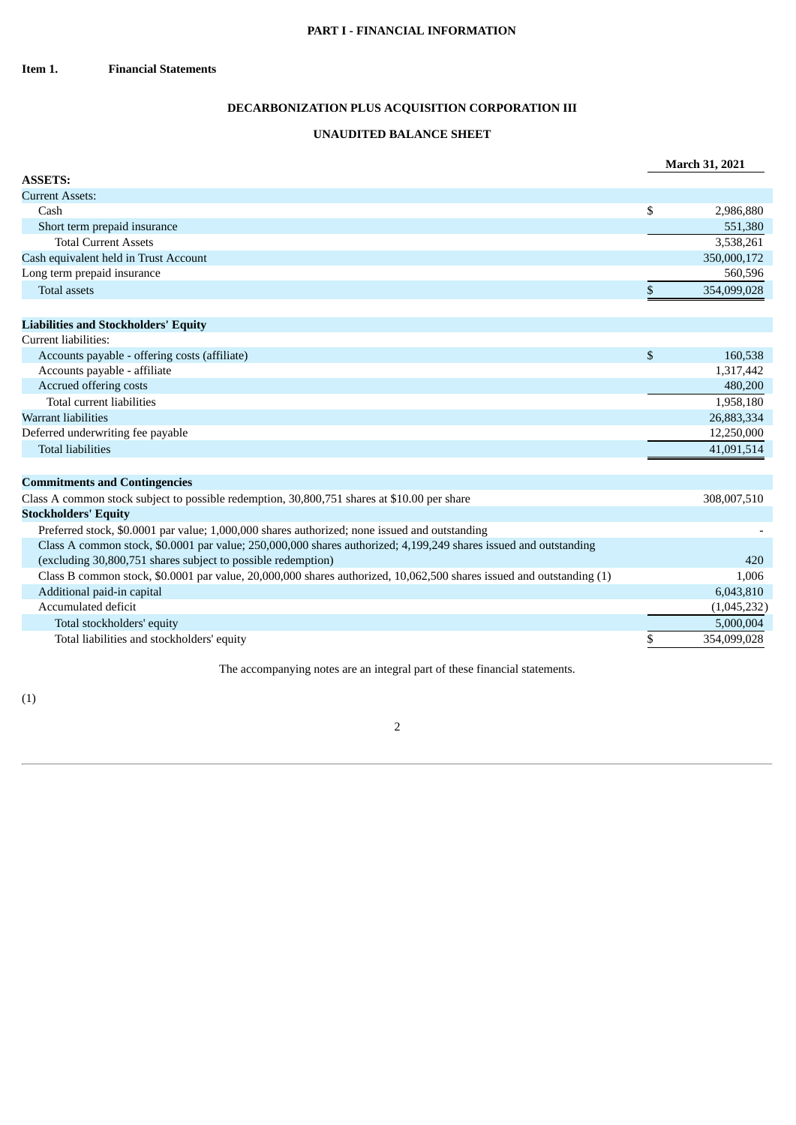# <span id="page-2-1"></span>**DECARBONIZATION PLUS ACQUISITION CORPORATION III**

# **UNAUDITED BALANCE SHEET**

<span id="page-2-0"></span>

|                                             |             | <b>March 31, 2021</b> |
|---------------------------------------------|-------------|-----------------------|
| <b>ASSETS:</b>                              |             |                       |
| <b>Current Assets:</b>                      |             |                       |
| Cash                                        | \$          | 2,986,880             |
| Short term prepaid insurance                |             | 551,380               |
| <b>Total Current Assets</b>                 |             | 3,538,261             |
| Cash equivalent held in Trust Account       |             | 350,000,172           |
| Long term prepaid insurance                 |             | 560,596               |
| Total assets                                |             | 354,099,028           |
|                                             |             |                       |
| <b>Liabilities and Stockholders' Equity</b> |             |                       |
| Current liabilities:                        |             |                       |
|                                             | $\triangle$ | 100 F00               |

| Accounts payable - offering costs (affiliate) | 160,538    |
|-----------------------------------------------|------------|
| Accounts payable - affiliate                  | 1,317,442  |
| Accrued offering costs                        | 480,200    |
| Total current liabilities                     | 1,958,180  |
| Warrant liabilities                           | 26,883,334 |
| Deferred underwriting fee payable             | 12,250,000 |
| Total liabilities                             | 41,091,514 |

# **Commitments and Contingencies**

| Class A common stock subject to possible redemption, 30,800,751 shares at \$10.00 per share                          | 308,007,510 |
|----------------------------------------------------------------------------------------------------------------------|-------------|
| <b>Stockholders' Equity</b>                                                                                          |             |
| Preferred stock, \$0.0001 par value; 1,000,000 shares authorized; none issued and outstanding                        |             |
| Class A common stock, \$0.0001 par value; 250,000,000 shares authorized; 4,199,249 shares issued and outstanding     |             |
| (excluding 30,800,751 shares subject to possible redemption)                                                         | 420         |
| Class B common stock, \$0.0001 par value, 20,000,000 shares authorized, 10,062,500 shares issued and outstanding (1) | 1.006       |
| Additional paid-in capital                                                                                           | 6,043,810   |
| Accumulated deficit                                                                                                  | (1,045,232) |
| Total stockholders' equity                                                                                           | 5,000,004   |
| Total liabilities and stockholders' equity                                                                           | 354,099,028 |

The accompanying notes are an integral part of these financial statements.

(1)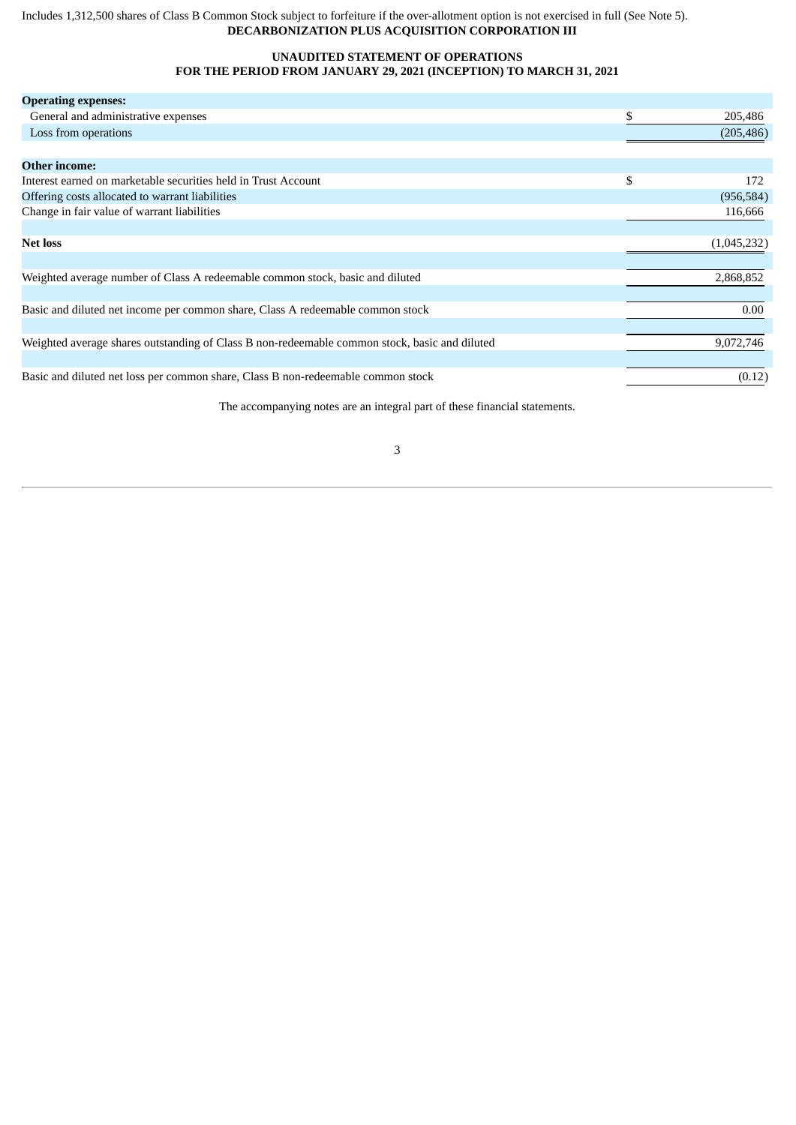# Includes 1,312,500 shares of Class B Common Stock subject to forfeiture if the over-allotment option is not exercised in full (See Note 5). **DECARBONIZATION PLUS ACQUISITION CORPORATION III**

# **UNAUDITED STATEMENT OF OPERATIONS FOR THE PERIOD FROM JANUARY 29, 2021 (INCEPTION) TO MARCH 31, 2021**

| <b>Operating expenses:</b>                                                                    |    |             |
|-----------------------------------------------------------------------------------------------|----|-------------|
| General and administrative expenses                                                           | S  | 205,486     |
| Loss from operations                                                                          |    | (205, 486)  |
|                                                                                               |    |             |
| <b>Other income:</b>                                                                          |    |             |
| Interest earned on marketable securities held in Trust Account                                | \$ | 172         |
| Offering costs allocated to warrant liabilities                                               |    | (956, 584)  |
| Change in fair value of warrant liabilities                                                   |    | 116,666     |
|                                                                                               |    |             |
| <b>Net loss</b>                                                                               |    | (1,045,232) |
|                                                                                               |    |             |
| Weighted average number of Class A redeemable common stock, basic and diluted                 |    | 2,868,852   |
|                                                                                               |    |             |
| Basic and diluted net income per common share, Class A redeemable common stock                |    | 0.00        |
|                                                                                               |    |             |
| Weighted average shares outstanding of Class B non-redeemable common stock, basic and diluted |    | 9,072,746   |
|                                                                                               |    |             |
| Basic and diluted net loss per common share, Class B non-redeemable common stock              |    | (0.12)      |
|                                                                                               |    |             |

The accompanying notes are an integral part of these financial statements.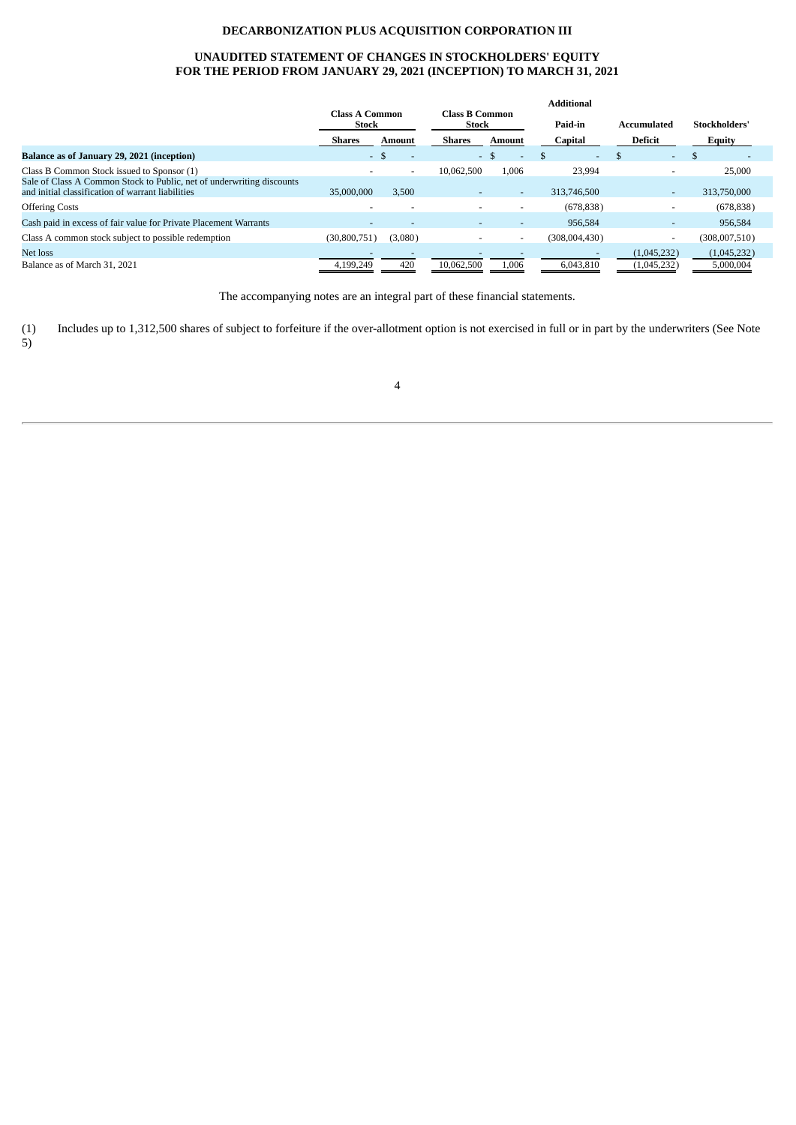# **DECARBONIZATION PLUS ACQUISITION CORPORATION III**

# **UNAUDITED STATEMENT OF CHANGES IN STOCKHOLDERS' EQUITY FOR THE PERIOD FROM JANUARY 29, 2021 (INCEPTION) TO MARCH 31, 2021**

|                                                                                                                            | <b>Additional</b>              |         |                                |        |               |                          |                          |  |
|----------------------------------------------------------------------------------------------------------------------------|--------------------------------|---------|--------------------------------|--------|---------------|--------------------------|--------------------------|--|
|                                                                                                                            | <b>Class A Common</b><br>Stock |         | <b>Class B Common</b><br>Stock |        | Paid-in       | <b>Accumulated</b>       | Stockholders'            |  |
|                                                                                                                            | Shares                         | Amount  | Shares                         | Amount | Capital       | Deficit                  | <b>Equity</b>            |  |
| Balance as of January 29, 2021 (inception)                                                                                 | $-$ \$                         |         | $-$ \$                         |        | $\sim$        | $\sim$                   | $\overline{\phantom{0}}$ |  |
| Class B Common Stock issued to Sponsor (1)                                                                                 |                                |         | 10.062.500                     | 1,006  | 23,994        |                          | 25,000                   |  |
| Sale of Class A Common Stock to Public, net of underwriting discounts<br>and initial classification of warrant liabilities | 35,000,000                     | 3.500   | $\overline{\phantom{a}}$       | $\sim$ | 313,746,500   | $\sim$                   | 313,750,000              |  |
| <b>Offering Costs</b>                                                                                                      |                                |         |                                |        | (678, 838)    |                          | (678, 838)               |  |
| Cash paid in excess of fair value for Private Placement Warrants                                                           |                                |         | $\overline{\phantom{0}}$       |        | 956,584       |                          | 956,584                  |  |
| Class A common stock subject to possible redemption                                                                        | (30,800,751)                   | (3,080) |                                |        | (308,004,430) | $\overline{\phantom{a}}$ | (308,007,510)            |  |
| Net loss                                                                                                                   |                                |         |                                |        |               | (1,045,232)              | (1,045,232)              |  |
| Balance as of March 31, 2021                                                                                               | 4.199.249                      | 420     | 10.062.500                     | 1,006  | 6.043.810     | (1,045,232)              | 5,000,004                |  |

The accompanying notes are an integral part of these financial statements.

(1) Includes up to 1,312,500 shares of subject to forfeiture if the over-allotment option is not exercised in full or in part by the underwriters (See Note 5)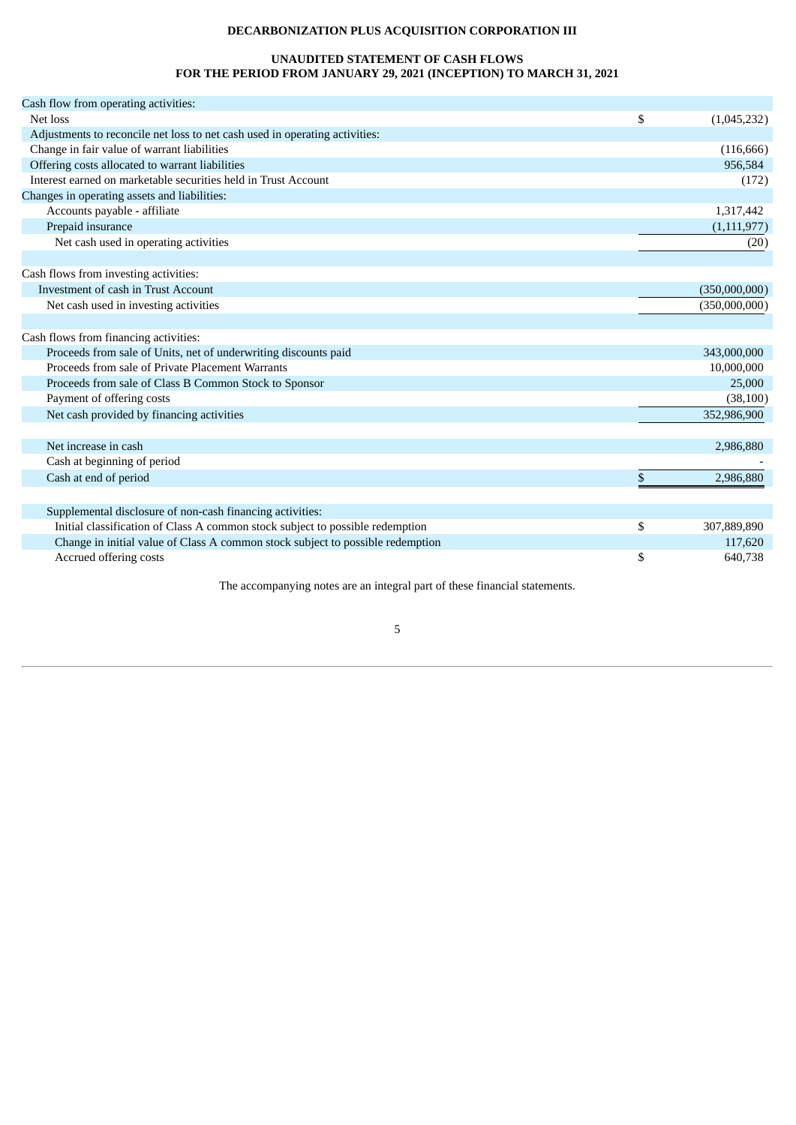# **DECARBONIZATION PLUS ACQUISITION CORPORATION III**

# **UNAUDITED STATEMENT OF CASH FLOWS FOR THE PERIOD FROM JANUARY 29, 2021 (INCEPTION) TO MARCH 31, 2021**

| Cash flow from operating activities:                                           |                   |
|--------------------------------------------------------------------------------|-------------------|
| Net loss                                                                       | \$<br>(1,045,232) |
| Adjustments to reconcile net loss to net cash used in operating activities:    |                   |
| Change in fair value of warrant liabilities                                    | (116, 666)        |
| Offering costs allocated to warrant liabilities                                | 956,584           |
| Interest earned on marketable securities held in Trust Account                 | (172)             |
| Changes in operating assets and liabilities:                                   |                   |
| Accounts payable - affiliate                                                   | 1,317,442         |
| Prepaid insurance                                                              | (1, 111, 977)     |
| Net cash used in operating activities                                          | (20)              |
|                                                                                |                   |
| Cash flows from investing activities:                                          |                   |
| Investment of cash in Trust Account                                            | (350,000,000)     |
| Net cash used in investing activities                                          | (350,000,000)     |
|                                                                                |                   |
| Cash flows from financing activities:                                          |                   |
| Proceeds from sale of Units, net of underwriting discounts paid                | 343,000,000       |
| Proceeds from sale of Private Placement Warrants                               | 10,000,000        |
| Proceeds from sale of Class B Common Stock to Sponsor                          | 25,000            |
| Payment of offering costs                                                      | (38, 100)         |
| Net cash provided by financing activities                                      | 352,986,900       |
|                                                                                |                   |
| Net increase in cash                                                           | 2,986,880         |
| Cash at beginning of period                                                    |                   |
| Cash at end of period                                                          | \$<br>2,986,880   |
|                                                                                |                   |
| Supplemental disclosure of non-cash financing activities:                      |                   |
| Initial classification of Class A common stock subject to possible redemption  | \$<br>307,889,890 |
| Change in initial value of Class A common stock subject to possible redemption | 117,620           |
| Accrued offering costs                                                         | \$<br>640,738     |
|                                                                                |                   |

The accompanying notes are an integral part of these financial statements.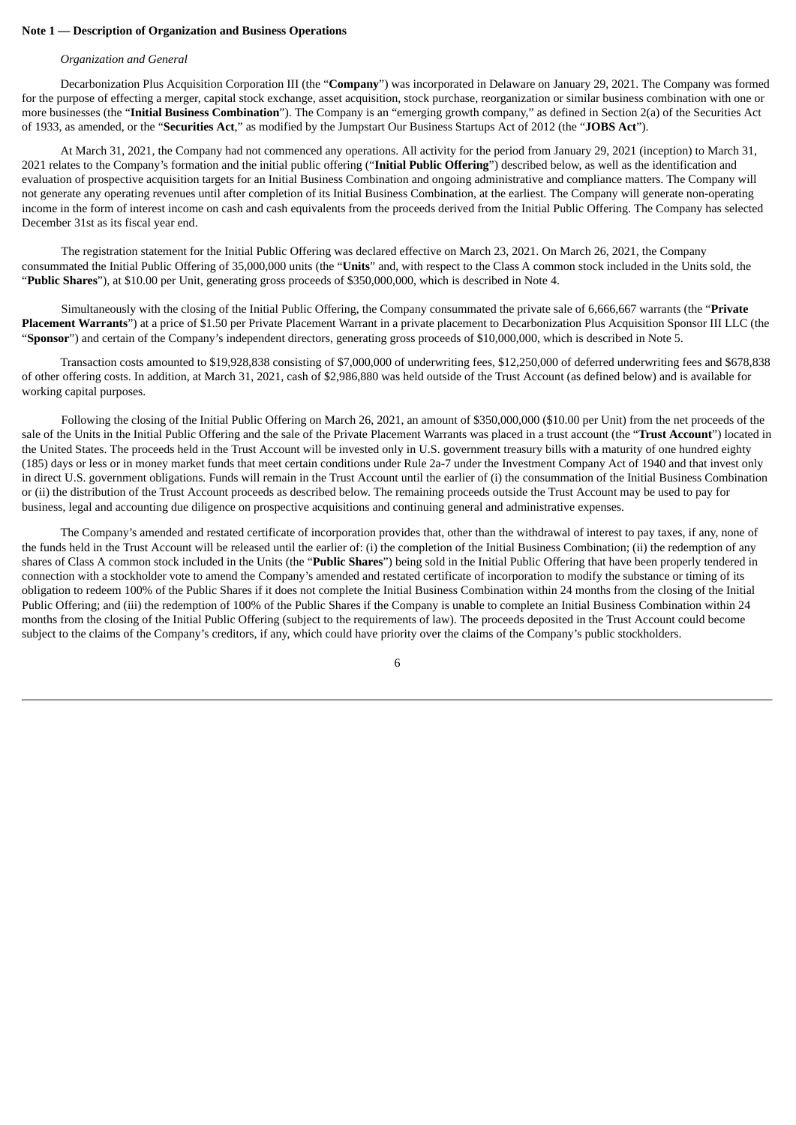## **Note 1 — Description of Organization and Business Operations**

#### *Organization and General*

Decarbonization Plus Acquisition Corporation III (the "**Company**") was incorporated in Delaware on January 29, 2021. The Company was formed for the purpose of effecting a merger, capital stock exchange, asset acquisition, stock purchase, reorganization or similar business combination with one or more businesses (the "**Initial Business Combination**"). The Company is an "emerging growth company," as defined in Section 2(a) of the Securities Act of 1933, as amended, or the "**Securities Act**," as modified by the Jumpstart Our Business Startups Act of 2012 (the "**JOBS Act**").

At March 31, 2021, the Company had not commenced any operations. All activity for the period from January 29, 2021 (inception) to March 31, 2021 relates to the Company's formation and the initial public offering ("**Initial Public Offering**") described below, as well as the identification and evaluation of prospective acquisition targets for an Initial Business Combination and ongoing administrative and compliance matters. The Company will not generate any operating revenues until after completion of its Initial Business Combination, at the earliest. The Company will generate non-operating income in the form of interest income on cash and cash equivalents from the proceeds derived from the Initial Public Offering. The Company has selected December 31st as its fiscal year end.

The registration statement for the Initial Public Offering was declared effective on March 23, 2021. On March 26, 2021, the Company consummated the Initial Public Offering of 35,000,000 units (the "**Units**" and, with respect to the Class A common stock included in the Units sold, the "**Public Shares**"), at \$10.00 per Unit, generating gross proceeds of \$350,000,000, which is described in Note 4.

Simultaneously with the closing of the Initial Public Offering, the Company consummated the private sale of 6,666,667 warrants (the "**Private Placement Warrants**") at a price of \$1.50 per Private Placement Warrant in a private placement to Decarbonization Plus Acquisition Sponsor III LLC (the "**Sponsor**") and certain of the Company's independent directors, generating gross proceeds of \$10,000,000, which is described in Note 5.

Transaction costs amounted to \$19,928,838 consisting of \$7,000,000 of underwriting fees, \$12,250,000 of deferred underwriting fees and \$678,838 of other offering costs. In addition, at March 31, 2021, cash of \$2,986,880 was held outside of the Trust Account (as defined below) and is available for working capital purposes.

Following the closing of the Initial Public Offering on March 26, 2021, an amount of \$350,000,000 (\$10.00 per Unit) from the net proceeds of the sale of the Units in the Initial Public Offering and the sale of the Private Placement Warrants was placed in a trust account (the "**Trust Account**") located in the United States. The proceeds held in the Trust Account will be invested only in U.S. government treasury bills with a maturity of one hundred eighty (185) days or less or in money market funds that meet certain conditions under Rule 2a-7 under the Investment Company Act of 1940 and that invest only in direct U.S. government obligations. Funds will remain in the Trust Account until the earlier of (i) the consummation of the Initial Business Combination or (ii) the distribution of the Trust Account proceeds as described below. The remaining proceeds outside the Trust Account may be used to pay for business, legal and accounting due diligence on prospective acquisitions and continuing general and administrative expenses.

The Company's amended and restated certificate of incorporation provides that, other than the withdrawal of interest to pay taxes, if any, none of the funds held in the Trust Account will be released until the earlier of: (i) the completion of the Initial Business Combination; (ii) the redemption of any shares of Class A common stock included in the Units (the "**Public Shares**") being sold in the Initial Public Offering that have been properly tendered in connection with a stockholder vote to amend the Company's amended and restated certificate of incorporation to modify the substance or timing of its obligation to redeem 100% of the Public Shares if it does not complete the Initial Business Combination within 24 months from the closing of the Initial Public Offering; and (iii) the redemption of 100% of the Public Shares if the Company is unable to complete an Initial Business Combination within 24 months from the closing of the Initial Public Offering (subject to the requirements of law). The proceeds deposited in the Trust Account could become subject to the claims of the Company's creditors, if any, which could have priority over the claims of the Company's public stockholders.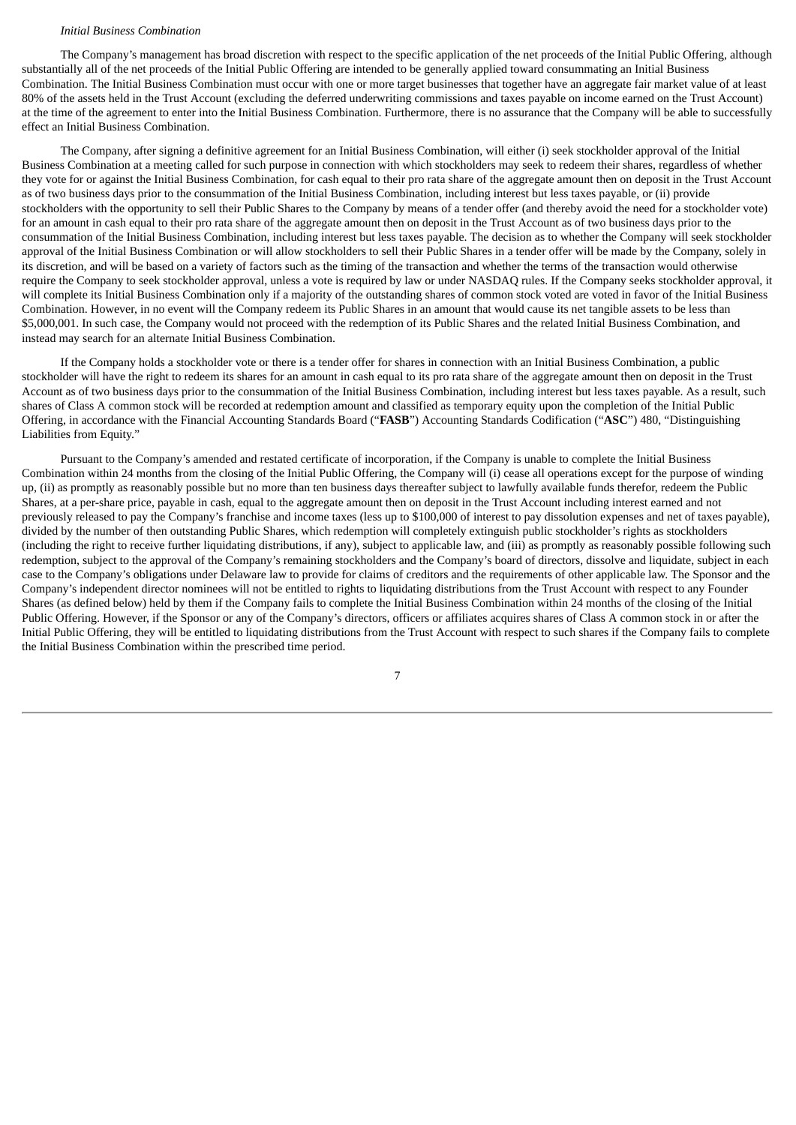#### *Initial Business Combination*

The Company's management has broad discretion with respect to the specific application of the net proceeds of the Initial Public Offering, although substantially all of the net proceeds of the Initial Public Offering are intended to be generally applied toward consummating an Initial Business Combination. The Initial Business Combination must occur with one or more target businesses that together have an aggregate fair market value of at least 80% of the assets held in the Trust Account (excluding the deferred underwriting commissions and taxes payable on income earned on the Trust Account) at the time of the agreement to enter into the Initial Business Combination. Furthermore, there is no assurance that the Company will be able to successfully effect an Initial Business Combination.

The Company, after signing a definitive agreement for an Initial Business Combination, will either (i) seek stockholder approval of the Initial Business Combination at a meeting called for such purpose in connection with which stockholders may seek to redeem their shares, regardless of whether they vote for or against the Initial Business Combination, for cash equal to their pro rata share of the aggregate amount then on deposit in the Trust Account as of two business days prior to the consummation of the Initial Business Combination, including interest but less taxes payable, or (ii) provide stockholders with the opportunity to sell their Public Shares to the Company by means of a tender offer (and thereby avoid the need for a stockholder vote) for an amount in cash equal to their pro rata share of the aggregate amount then on deposit in the Trust Account as of two business days prior to the consummation of the Initial Business Combination, including interest but less taxes payable. The decision as to whether the Company will seek stockholder approval of the Initial Business Combination or will allow stockholders to sell their Public Shares in a tender offer will be made by the Company, solely in its discretion, and will be based on a variety of factors such as the timing of the transaction and whether the terms of the transaction would otherwise require the Company to seek stockholder approval, unless a vote is required by law or under NASDAQ rules. If the Company seeks stockholder approval, it will complete its Initial Business Combination only if a majority of the outstanding shares of common stock voted are voted in favor of the Initial Business Combination. However, in no event will the Company redeem its Public Shares in an amount that would cause its net tangible assets to be less than \$5,000,001. In such case, the Company would not proceed with the redemption of its Public Shares and the related Initial Business Combination, and instead may search for an alternate Initial Business Combination.

If the Company holds a stockholder vote or there is a tender offer for shares in connection with an Initial Business Combination, a public stockholder will have the right to redeem its shares for an amount in cash equal to its pro rata share of the aggregate amount then on deposit in the Trust Account as of two business days prior to the consummation of the Initial Business Combination, including interest but less taxes payable. As a result, such shares of Class A common stock will be recorded at redemption amount and classified as temporary equity upon the completion of the Initial Public Offering, in accordance with the Financial Accounting Standards Board ("**FASB**") Accounting Standards Codification ("**ASC**") 480, "Distinguishing Liabilities from Equity."

Pursuant to the Company's amended and restated certificate of incorporation, if the Company is unable to complete the Initial Business Combination within 24 months from the closing of the Initial Public Offering, the Company will (i) cease all operations except for the purpose of winding up, (ii) as promptly as reasonably possible but no more than ten business days thereafter subject to lawfully available funds therefor, redeem the Public Shares, at a per-share price, payable in cash, equal to the aggregate amount then on deposit in the Trust Account including interest earned and not previously released to pay the Company's franchise and income taxes (less up to \$100,000 of interest to pay dissolution expenses and net of taxes payable), divided by the number of then outstanding Public Shares, which redemption will completely extinguish public stockholder's rights as stockholders (including the right to receive further liquidating distributions, if any), subject to applicable law, and (iii) as promptly as reasonably possible following such redemption, subject to the approval of the Company's remaining stockholders and the Company's board of directors, dissolve and liquidate, subject in each case to the Company's obligations under Delaware law to provide for claims of creditors and the requirements of other applicable law. The Sponsor and the Company's independent director nominees will not be entitled to rights to liquidating distributions from the Trust Account with respect to any Founder Shares (as defined below) held by them if the Company fails to complete the Initial Business Combination within 24 months of the closing of the Initial Public Offering. However, if the Sponsor or any of the Company's directors, officers or affiliates acquires shares of Class A common stock in or after the Initial Public Offering, they will be entitled to liquidating distributions from the Trust Account with respect to such shares if the Company fails to complete the Initial Business Combination within the prescribed time period.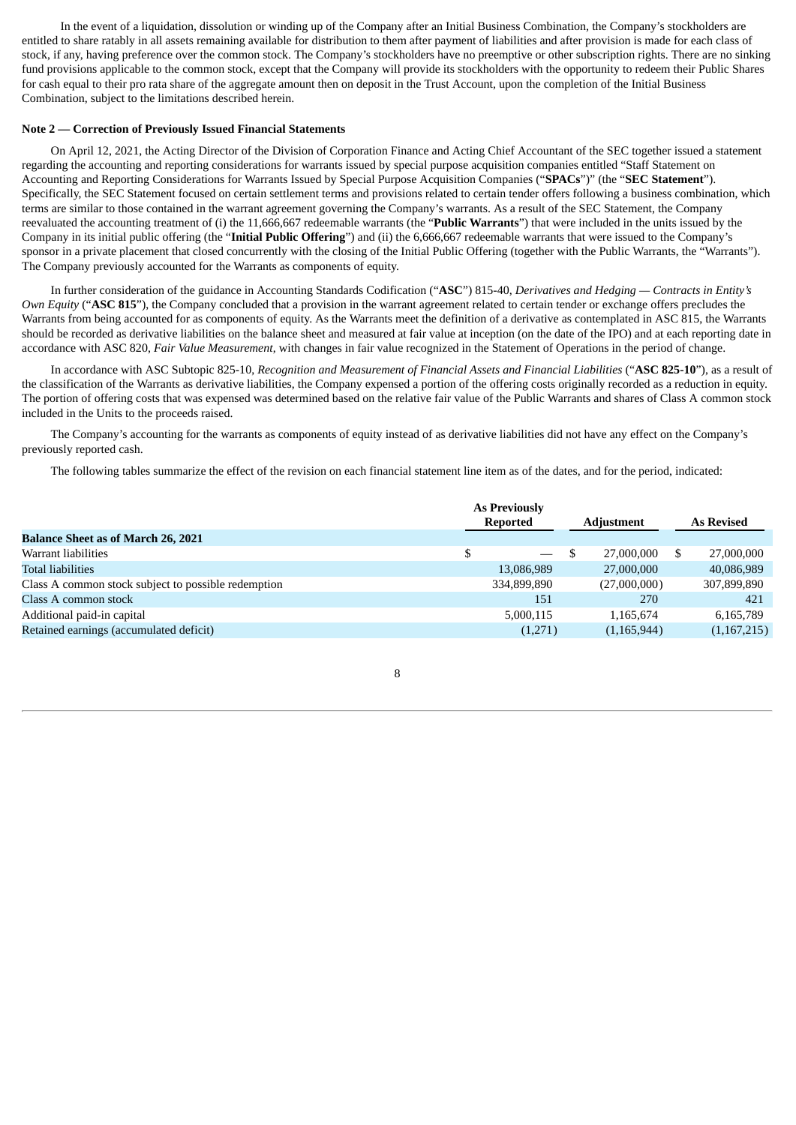In the event of a liquidation, dissolution or winding up of the Company after an Initial Business Combination, the Company's stockholders are entitled to share ratably in all assets remaining available for distribution to them after payment of liabilities and after provision is made for each class of stock, if any, having preference over the common stock. The Company's stockholders have no preemptive or other subscription rights. There are no sinking fund provisions applicable to the common stock, except that the Company will provide its stockholders with the opportunity to redeem their Public Shares for cash equal to their pro rata share of the aggregate amount then on deposit in the Trust Account, upon the completion of the Initial Business Combination, subject to the limitations described herein.

#### **Note 2 — Correction of Previously Issued Financial Statements**

On April 12, 2021, the Acting Director of the Division of Corporation Finance and Acting Chief Accountant of the SEC together issued a statement regarding the accounting and reporting considerations for warrants issued by special purpose acquisition companies entitled "Staff Statement on Accounting and Reporting Considerations for Warrants Issued by Special Purpose Acquisition Companies ("**SPACs**")" (the "**SEC Statement**"). Specifically, the SEC Statement focused on certain settlement terms and provisions related to certain tender offers following a business combination, which terms are similar to those contained in the warrant agreement governing the Company's warrants. As a result of the SEC Statement, the Company reevaluated the accounting treatment of (i) the 11,666,667 redeemable warrants (the "**Public Warrants**") that were included in the units issued by the Company in its initial public offering (the "**Initial Public Offering**") and (ii) the 6,666,667 redeemable warrants that were issued to the Company's sponsor in a private placement that closed concurrently with the closing of the Initial Public Offering (together with the Public Warrants, the "Warrants"). The Company previously accounted for the Warrants as components of equity.

In further consideration of the guidance in Accounting Standards Codification ("**ASC**") 815-40, *Derivatives and Hedging — Contracts in Entity's Own Equity* ("**ASC 815**"), the Company concluded that a provision in the warrant agreement related to certain tender or exchange offers precludes the Warrants from being accounted for as components of equity. As the Warrants meet the definition of a derivative as contemplated in ASC 815, the Warrants should be recorded as derivative liabilities on the balance sheet and measured at fair value at inception (on the date of the IPO) and at each reporting date in accordance with ASC 820, *Fair Value Measurement*, with changes in fair value recognized in the Statement of Operations in the period of change.

In accordance with ASC Subtopic 825-10, *Recognition and Measurement of Financial Assets and Financial Liabilities* ("**ASC 825-10**"), as a result of the classification of the Warrants as derivative liabilities, the Company expensed a portion of the offering costs originally recorded as a reduction in equity. The portion of offering costs that was expensed was determined based on the relative fair value of the Public Warrants and shares of Class A common stock included in the Units to the proceeds raised.

The Company's accounting for the warrants as components of equity instead of as derivative liabilities did not have any effect on the Company's previously reported cash.

The following tables summarize the effect of the revision on each financial statement line item as of the dates, and for the period, indicated:

|                                                     | <b>As Previously</b><br><b>Reported</b><br><b>Adjustment</b> |  | <b>As Revised</b> |  |             |
|-----------------------------------------------------|--------------------------------------------------------------|--|-------------------|--|-------------|
| <b>Balance Sheet as of March 26, 2021</b>           |                                                              |  |                   |  |             |
| Warrant liabilities                                 | \$<br><b>Common</b>                                          |  | 27,000,000        |  | 27,000,000  |
| <b>Total liabilities</b>                            | 13,086,989                                                   |  | 27,000,000        |  | 40,086,989  |
| Class A common stock subject to possible redemption | 334,899,890                                                  |  | (27,000,000)      |  | 307,899,890 |
| Class A common stock                                | 151                                                          |  | 270               |  | 421         |
| Additional paid-in capital                          | 5,000,115                                                    |  | 1,165,674         |  | 6,165,789   |
| Retained earnings (accumulated deficit)             | (1,271)                                                      |  | (1,165,944)       |  | (1,167,215) |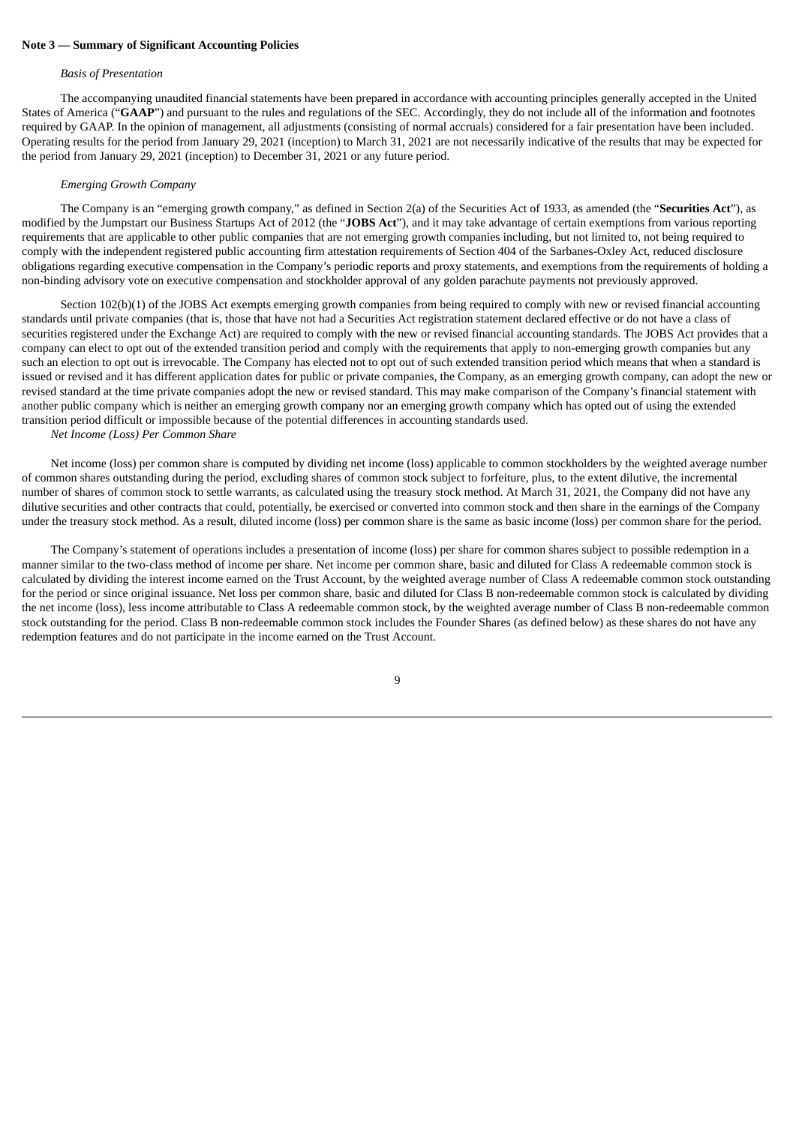#### **Note 3 — Summary of Significant Accounting Policies**

#### *Basis of Presentation*

The accompanying unaudited financial statements have been prepared in accordance with accounting principles generally accepted in the United States of America ("**GAAP**") and pursuant to the rules and regulations of the SEC. Accordingly, they do not include all of the information and footnotes required by GAAP. In the opinion of management, all adjustments (consisting of normal accruals) considered for a fair presentation have been included. Operating results for the period from January 29, 2021 (inception) to March 31, 2021 are not necessarily indicative of the results that may be expected for the period from January 29, 2021 (inception) to December 31, 2021 or any future period.

#### *Emerging Growth Company*

The Company is an "emerging growth company," as defined in Section 2(a) of the Securities Act of 1933, as amended (the "**Securities Act**"), as modified by the Jumpstart our Business Startups Act of 2012 (the "**JOBS Act**"), and it may take advantage of certain exemptions from various reporting requirements that are applicable to other public companies that are not emerging growth companies including, but not limited to, not being required to comply with the independent registered public accounting firm attestation requirements of Section 404 of the Sarbanes-Oxley Act, reduced disclosure obligations regarding executive compensation in the Company's periodic reports and proxy statements, and exemptions from the requirements of holding a non-binding advisory vote on executive compensation and stockholder approval of any golden parachute payments not previously approved.

Section 102(b)(1) of the JOBS Act exempts emerging growth companies from being required to comply with new or revised financial accounting standards until private companies (that is, those that have not had a Securities Act registration statement declared effective or do not have a class of securities registered under the Exchange Act) are required to comply with the new or revised financial accounting standards. The JOBS Act provides that a company can elect to opt out of the extended transition period and comply with the requirements that apply to non-emerging growth companies but any such an election to opt out is irrevocable. The Company has elected not to opt out of such extended transition period which means that when a standard is issued or revised and it has different application dates for public or private companies, the Company, as an emerging growth company, can adopt the new or revised standard at the time private companies adopt the new or revised standard. This may make comparison of the Company's financial statement with another public company which is neither an emerging growth company nor an emerging growth company which has opted out of using the extended transition period difficult or impossible because of the potential differences in accounting standards used.

## *Net Income (Loss) Per Common Share*

Net income (loss) per common share is computed by dividing net income (loss) applicable to common stockholders by the weighted average number of common shares outstanding during the period, excluding shares of common stock subject to forfeiture, plus, to the extent dilutive, the incremental number of shares of common stock to settle warrants, as calculated using the treasury stock method. At March 31, 2021, the Company did not have any dilutive securities and other contracts that could, potentially, be exercised or converted into common stock and then share in the earnings of the Company under the treasury stock method. As a result, diluted income (loss) per common share is the same as basic income (loss) per common share for the period.

The Company's statement of operations includes a presentation of income (loss) per share for common shares subject to possible redemption in a manner similar to the two-class method of income per share. Net income per common share, basic and diluted for Class A redeemable common stock is calculated by dividing the interest income earned on the Trust Account, by the weighted average number of Class A redeemable common stock outstanding for the period or since original issuance. Net loss per common share, basic and diluted for Class B non-redeemable common stock is calculated by dividing the net income (loss), less income attributable to Class A redeemable common stock, by the weighted average number of Class B non-redeemable common stock outstanding for the period. Class B non-redeemable common stock includes the Founder Shares (as defined below) as these shares do not have any redemption features and do not participate in the income earned on the Trust Account.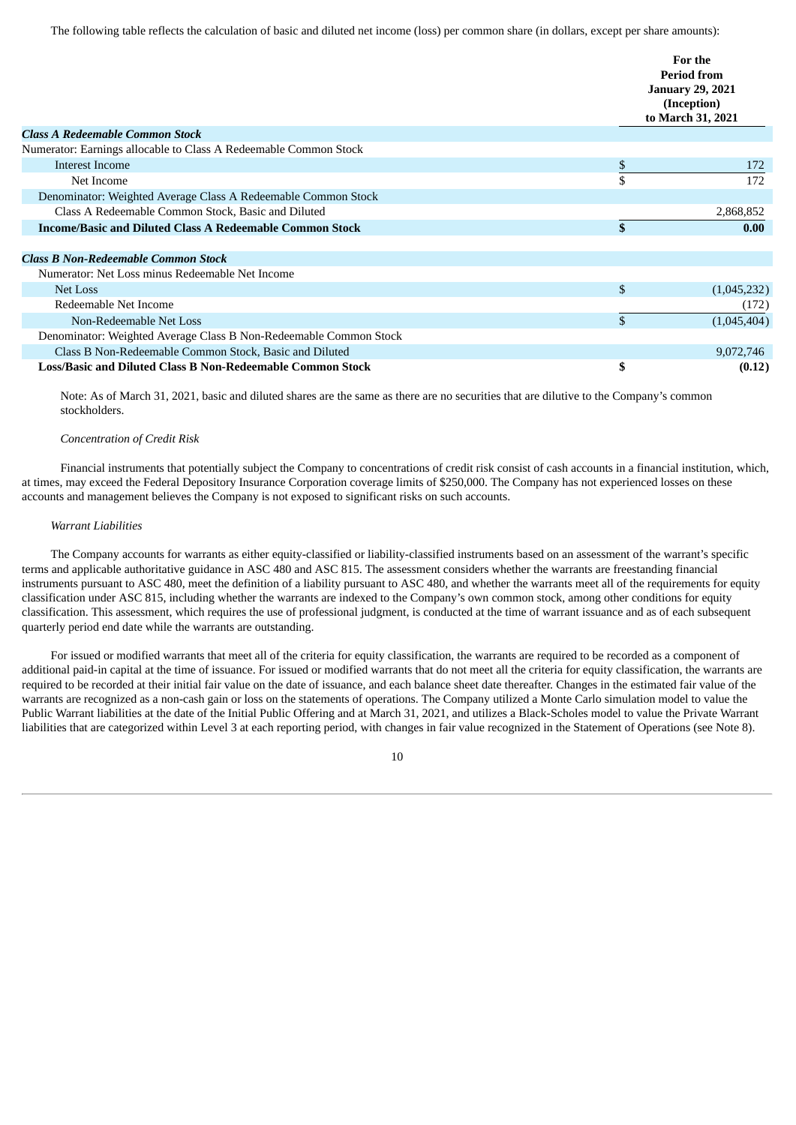The following table reflects the calculation of basic and diluted net income (loss) per common share (in dollars, except per share amounts):

|                                                                   | For the<br><b>Period from</b><br><b>January 29, 2021</b><br>(Inception)<br>to March 31, 2021 |
|-------------------------------------------------------------------|----------------------------------------------------------------------------------------------|
| <b>Class A Redeemable Common Stock</b>                            |                                                                                              |
| Numerator: Earnings allocable to Class A Redeemable Common Stock  |                                                                                              |
| Interest Income                                                   | \$<br>172                                                                                    |
| Net Income                                                        | \$<br>172                                                                                    |
| Denominator: Weighted Average Class A Redeemable Common Stock     |                                                                                              |
| Class A Redeemable Common Stock, Basic and Diluted                | 2,868,852                                                                                    |
| <b>Income/Basic and Diluted Class A Redeemable Common Stock</b>   | \$<br>0.00                                                                                   |
|                                                                   |                                                                                              |
| <b>Class B Non-Redeemable Common Stock</b>                        |                                                                                              |
| Numerator: Net Loss minus Redeemable Net Income                   |                                                                                              |
| <b>Net Loss</b>                                                   | \$<br>(1,045,232)                                                                            |
| Redeemable Net Income                                             | (172)                                                                                        |
| Non-Redeemable Net Loss                                           | \$<br>(1,045,404)                                                                            |
| Denominator: Weighted Average Class B Non-Redeemable Common Stock |                                                                                              |
| Class B Non-Redeemable Common Stock, Basic and Diluted            | 9,072,746                                                                                    |
| Loss/Basic and Diluted Class B Non-Redeemable Common Stock        | \$<br>(0.12)                                                                                 |

Note: As of March 31, 2021, basic and diluted shares are the same as there are no securities that are dilutive to the Company's common stockholders.

#### *Concentration of Credit Risk*

Financial instruments that potentially subject the Company to concentrations of credit risk consist of cash accounts in a financial institution, which, at times, may exceed the Federal Depository Insurance Corporation coverage limits of \$250,000. The Company has not experienced losses on these accounts and management believes the Company is not exposed to significant risks on such accounts.

## *Warrant Liabilities*

The Company accounts for warrants as either equity-classified or liability-classified instruments based on an assessment of the warrant's specific terms and applicable authoritative guidance in ASC 480 and ASC 815. The assessment considers whether the warrants are freestanding financial instruments pursuant to ASC 480, meet the definition of a liability pursuant to ASC 480, and whether the warrants meet all of the requirements for equity classification under ASC 815, including whether the warrants are indexed to the Company's own common stock, among other conditions for equity classification. This assessment, which requires the use of professional judgment, is conducted at the time of warrant issuance and as of each subsequent quarterly period end date while the warrants are outstanding.

For issued or modified warrants that meet all of the criteria for equity classification, the warrants are required to be recorded as a component of additional paid-in capital at the time of issuance. For issued or modified warrants that do not meet all the criteria for equity classification, the warrants are required to be recorded at their initial fair value on the date of issuance, and each balance sheet date thereafter. Changes in the estimated fair value of the warrants are recognized as a non-cash gain or loss on the statements of operations. The Company utilized a Monte Carlo simulation model to value the Public Warrant liabilities at the date of the Initial Public Offering and at March 31, 2021, and utilizes a Black-Scholes model to value the Private Warrant liabilities that are categorized within Level 3 at each reporting period, with changes in fair value recognized in the Statement of Operations (see Note 8).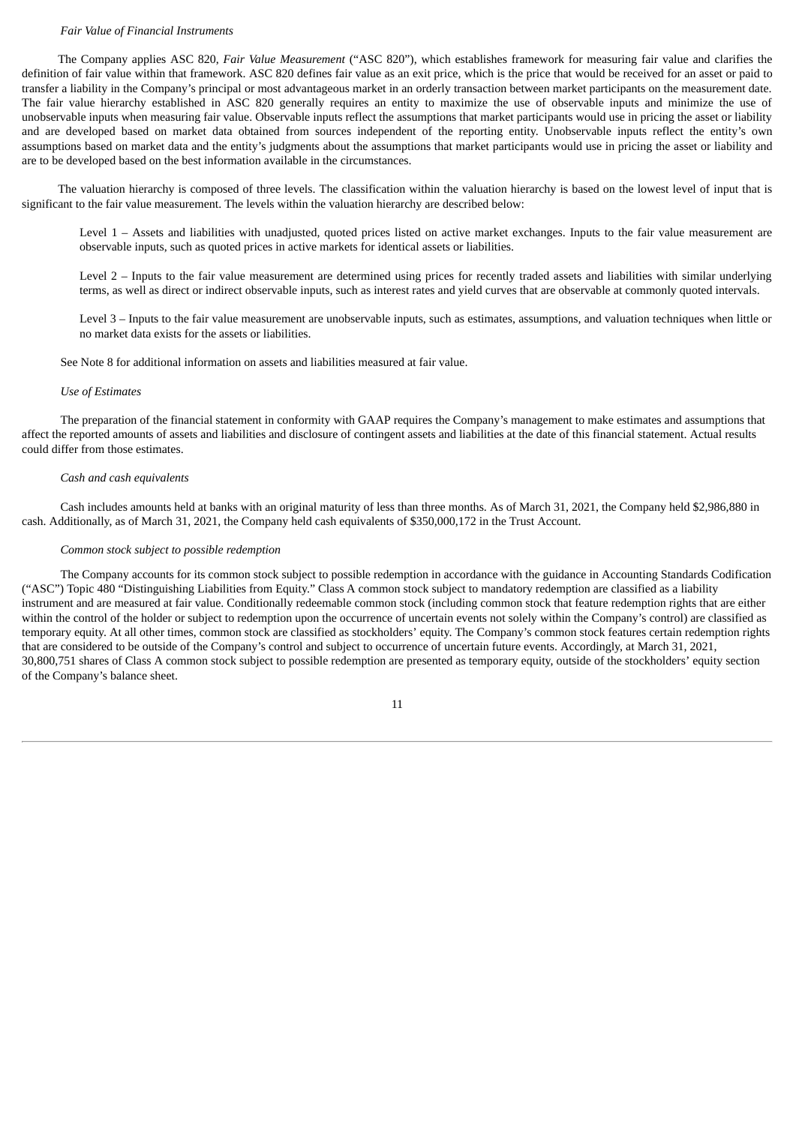#### *Fair Value of Financial Instruments*

The Company applies ASC 820, *Fair Value Measurement* ("ASC 820"), which establishes framework for measuring fair value and clarifies the definition of fair value within that framework. ASC 820 defines fair value as an exit price, which is the price that would be received for an asset or paid to transfer a liability in the Company's principal or most advantageous market in an orderly transaction between market participants on the measurement date. The fair value hierarchy established in ASC 820 generally requires an entity to maximize the use of observable inputs and minimize the use of unobservable inputs when measuring fair value. Observable inputs reflect the assumptions that market participants would use in pricing the asset or liability and are developed based on market data obtained from sources independent of the reporting entity. Unobservable inputs reflect the entity's own assumptions based on market data and the entity's judgments about the assumptions that market participants would use in pricing the asset or liability and are to be developed based on the best information available in the circumstances.

The valuation hierarchy is composed of three levels. The classification within the valuation hierarchy is based on the lowest level of input that is significant to the fair value measurement. The levels within the valuation hierarchy are described below:

Level 1 – Assets and liabilities with unadjusted, quoted prices listed on active market exchanges. Inputs to the fair value measurement are observable inputs, such as quoted prices in active markets for identical assets or liabilities.

Level 2 – Inputs to the fair value measurement are determined using prices for recently traded assets and liabilities with similar underlying terms, as well as direct or indirect observable inputs, such as interest rates and yield curves that are observable at commonly quoted intervals.

Level 3 – Inputs to the fair value measurement are unobservable inputs, such as estimates, assumptions, and valuation techniques when little or no market data exists for the assets or liabilities.

See Note 8 for additional information on assets and liabilities measured at fair value.

#### *Use of Estimates*

The preparation of the financial statement in conformity with GAAP requires the Company's management to make estimates and assumptions that affect the reported amounts of assets and liabilities and disclosure of contingent assets and liabilities at the date of this financial statement. Actual results could differ from those estimates.

## *Cash and cash equivalents*

Cash includes amounts held at banks with an original maturity of less than three months. As of March 31, 2021, the Company held \$2,986,880 in cash. Additionally, as of March 31, 2021, the Company held cash equivalents of \$350,000,172 in the Trust Account.

#### *Common stock subject to possible redemption*

The Company accounts for its common stock subject to possible redemption in accordance with the guidance in Accounting Standards Codification ("ASC") Topic 480 "Distinguishing Liabilities from Equity." Class A common stock subject to mandatory redemption are classified as a liability instrument and are measured at fair value. Conditionally redeemable common stock (including common stock that feature redemption rights that are either within the control of the holder or subject to redemption upon the occurrence of uncertain events not solely within the Company's control) are classified as temporary equity. At all other times, common stock are classified as stockholders' equity. The Company's common stock features certain redemption rights that are considered to be outside of the Company's control and subject to occurrence of uncertain future events. Accordingly, at March 31, 2021, 30,800,751 shares of Class A common stock subject to possible redemption are presented as temporary equity, outside of the stockholders' equity section of the Company's balance sheet.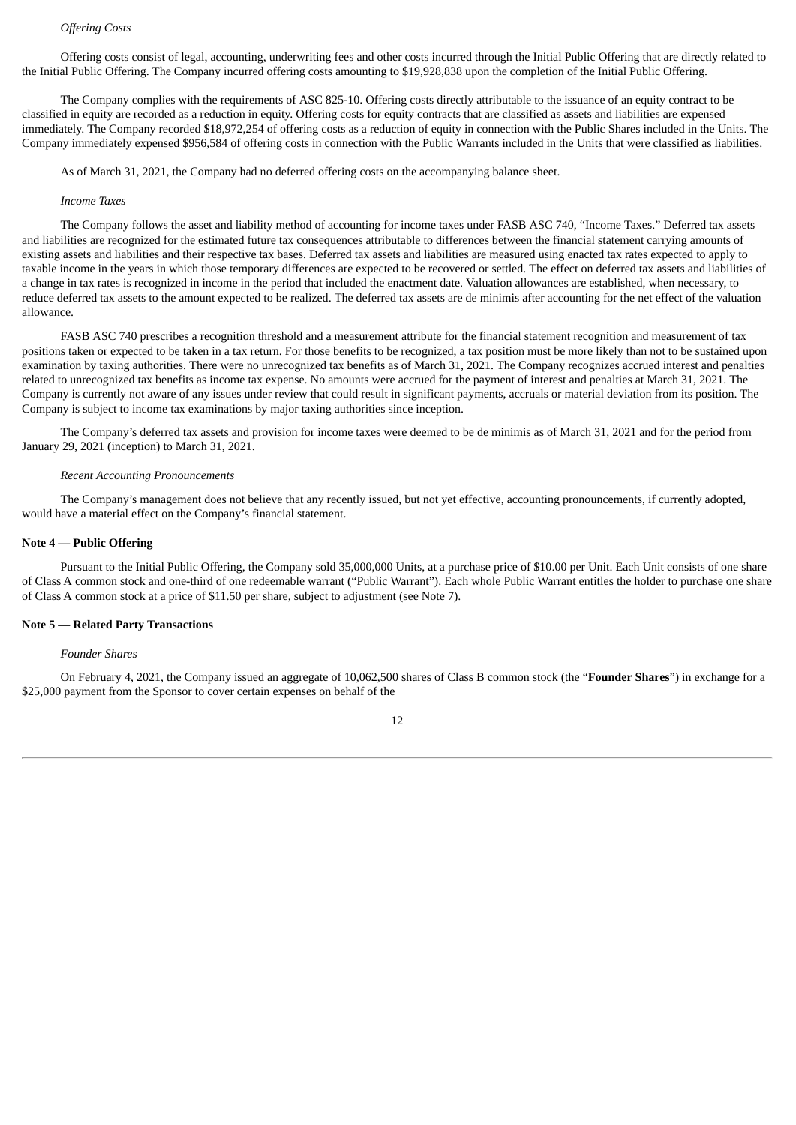# *Offering Costs*

Offering costs consist of legal, accounting, underwriting fees and other costs incurred through the Initial Public Offering that are directly related to the Initial Public Offering. The Company incurred offering costs amounting to \$19,928,838 upon the completion of the Initial Public Offering.

The Company complies with the requirements of ASC 825-10. Offering costs directly attributable to the issuance of an equity contract to be classified in equity are recorded as a reduction in equity. Offering costs for equity contracts that are classified as assets and liabilities are expensed immediately. The Company recorded \$18,972,254 of offering costs as a reduction of equity in connection with the Public Shares included in the Units. The Company immediately expensed \$956,584 of offering costs in connection with the Public Warrants included in the Units that were classified as liabilities.

As of March 31, 2021, the Company had no deferred offering costs on the accompanying balance sheet.

#### *Income Taxes*

The Company follows the asset and liability method of accounting for income taxes under FASB ASC 740, "Income Taxes." Deferred tax assets and liabilities are recognized for the estimated future tax consequences attributable to differences between the financial statement carrying amounts of existing assets and liabilities and their respective tax bases. Deferred tax assets and liabilities are measured using enacted tax rates expected to apply to taxable income in the years in which those temporary differences are expected to be recovered or settled. The effect on deferred tax assets and liabilities of a change in tax rates is recognized in income in the period that included the enactment date. Valuation allowances are established, when necessary, to reduce deferred tax assets to the amount expected to be realized. The deferred tax assets are de minimis after accounting for the net effect of the valuation allowance.

FASB ASC 740 prescribes a recognition threshold and a measurement attribute for the financial statement recognition and measurement of tax positions taken or expected to be taken in a tax return. For those benefits to be recognized, a tax position must be more likely than not to be sustained upon examination by taxing authorities. There were no unrecognized tax benefits as of March 31, 2021. The Company recognizes accrued interest and penalties related to unrecognized tax benefits as income tax expense. No amounts were accrued for the payment of interest and penalties at March 31, 2021. The Company is currently not aware of any issues under review that could result in significant payments, accruals or material deviation from its position. The Company is subject to income tax examinations by major taxing authorities since inception.

The Company's deferred tax assets and provision for income taxes were deemed to be de minimis as of March 31, 2021 and for the period from January 29, 2021 (inception) to March 31, 2021.

## *Recent Accounting Pronouncements*

The Company's management does not believe that any recently issued, but not yet effective, accounting pronouncements, if currently adopted, would have a material effect on the Company's financial statement.

#### **Note 4 — Public Offering**

Pursuant to the Initial Public Offering, the Company sold 35,000,000 Units, at a purchase price of \$10.00 per Unit. Each Unit consists of one share of Class A common stock and one-third of one redeemable warrant ("Public Warrant"). Each whole Public Warrant entitles the holder to purchase one share of Class A common stock at a price of \$11.50 per share, subject to adjustment (see Note 7).

#### **Note 5 — Related Party Transactions**

#### *Founder Shares*

On February 4, 2021, the Company issued an aggregate of 10,062,500 shares of Class B common stock (the "**Founder Shares**") in exchange for a \$25,000 payment from the Sponsor to cover certain expenses on behalf of the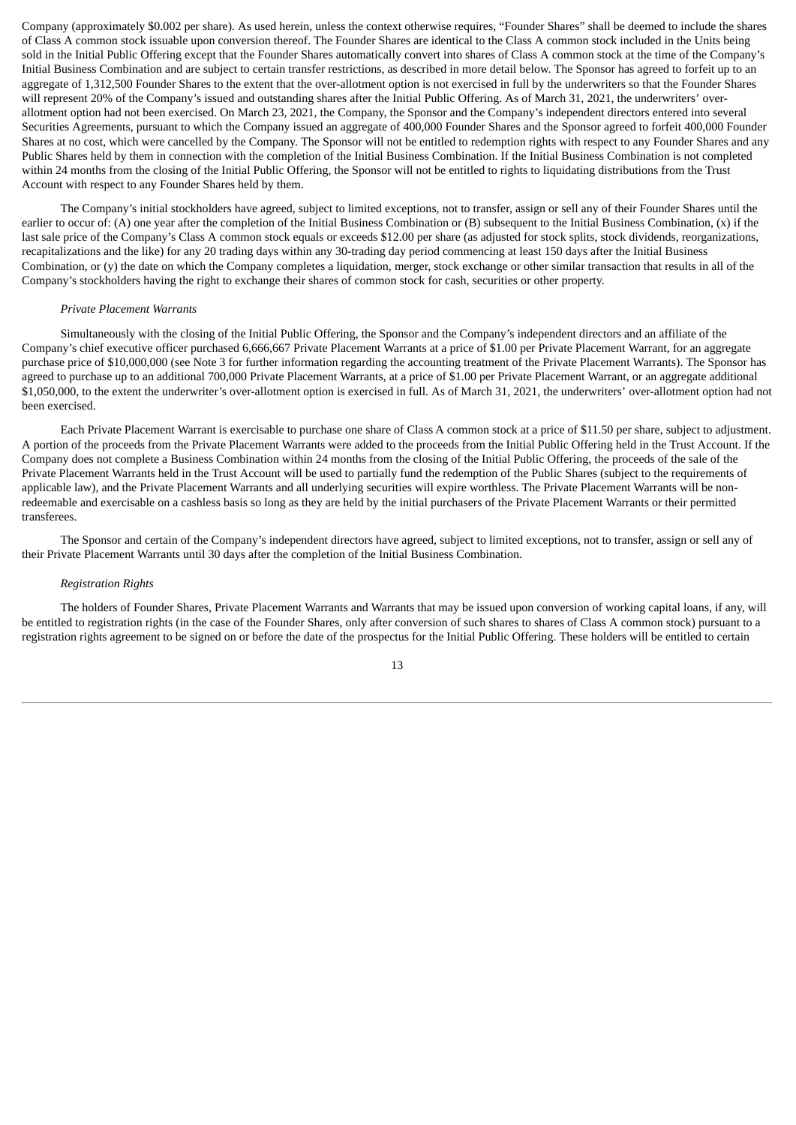Company (approximately \$0.002 per share). As used herein, unless the context otherwise requires, "Founder Shares" shall be deemed to include the shares of Class A common stock issuable upon conversion thereof. The Founder Shares are identical to the Class A common stock included in the Units being sold in the Initial Public Offering except that the Founder Shares automatically convert into shares of Class A common stock at the time of the Company's Initial Business Combination and are subject to certain transfer restrictions, as described in more detail below. The Sponsor has agreed to forfeit up to an aggregate of 1,312,500 Founder Shares to the extent that the over-allotment option is not exercised in full by the underwriters so that the Founder Shares will represent 20% of the Company's issued and outstanding shares after the Initial Public Offering. As of March 31, 2021, the underwriters' overallotment option had not been exercised. On March 23, 2021, the Company, the Sponsor and the Company's independent directors entered into several Securities Agreements, pursuant to which the Company issued an aggregate of 400,000 Founder Shares and the Sponsor agreed to forfeit 400,000 Founder Shares at no cost, which were cancelled by the Company. The Sponsor will not be entitled to redemption rights with respect to any Founder Shares and any Public Shares held by them in connection with the completion of the Initial Business Combination. If the Initial Business Combination is not completed within 24 months from the closing of the Initial Public Offering, the Sponsor will not be entitled to rights to liquidating distributions from the Trust Account with respect to any Founder Shares held by them.

The Company's initial stockholders have agreed, subject to limited exceptions, not to transfer, assign or sell any of their Founder Shares until the earlier to occur of: (A) one year after the completion of the Initial Business Combination or (B) subsequent to the Initial Business Combination, (x) if the last sale price of the Company's Class A common stock equals or exceeds \$12.00 per share (as adjusted for stock splits, stock dividends, reorganizations, recapitalizations and the like) for any 20 trading days within any 30-trading day period commencing at least 150 days after the Initial Business Combination, or (y) the date on which the Company completes a liquidation, merger, stock exchange or other similar transaction that results in all of the Company's stockholders having the right to exchange their shares of common stock for cash, securities or other property.

#### *Private Placement Warrants*

Simultaneously with the closing of the Initial Public Offering, the Sponsor and the Company's independent directors and an affiliate of the Company's chief executive officer purchased 6,666,667 Private Placement Warrants at a price of \$1.00 per Private Placement Warrant, for an aggregate purchase price of \$10,000,000 (see Note 3 for further information regarding the accounting treatment of the Private Placement Warrants). The Sponsor has agreed to purchase up to an additional 700,000 Private Placement Warrants, at a price of \$1.00 per Private Placement Warrant, or an aggregate additional \$1,050,000, to the extent the underwriter's over-allotment option is exercised in full. As of March 31, 2021, the underwriters' over-allotment option had not been exercised.

Each Private Placement Warrant is exercisable to purchase one share of Class A common stock at a price of \$11.50 per share, subject to adjustment. A portion of the proceeds from the Private Placement Warrants were added to the proceeds from the Initial Public Offering held in the Trust Account. If the Company does not complete a Business Combination within 24 months from the closing of the Initial Public Offering, the proceeds of the sale of the Private Placement Warrants held in the Trust Account will be used to partially fund the redemption of the Public Shares (subject to the requirements of applicable law), and the Private Placement Warrants and all underlying securities will expire worthless. The Private Placement Warrants will be nonredeemable and exercisable on a cashless basis so long as they are held by the initial purchasers of the Private Placement Warrants or their permitted transferees.

The Sponsor and certain of the Company's independent directors have agreed, subject to limited exceptions, not to transfer, assign or sell any of their Private Placement Warrants until 30 days after the completion of the Initial Business Combination.

# *Registration Rights*

The holders of Founder Shares, Private Placement Warrants and Warrants that may be issued upon conversion of working capital loans, if any, will be entitled to registration rights (in the case of the Founder Shares, only after conversion of such shares to shares of Class A common stock) pursuant to a registration rights agreement to be signed on or before the date of the prospectus for the Initial Public Offering. These holders will be entitled to certain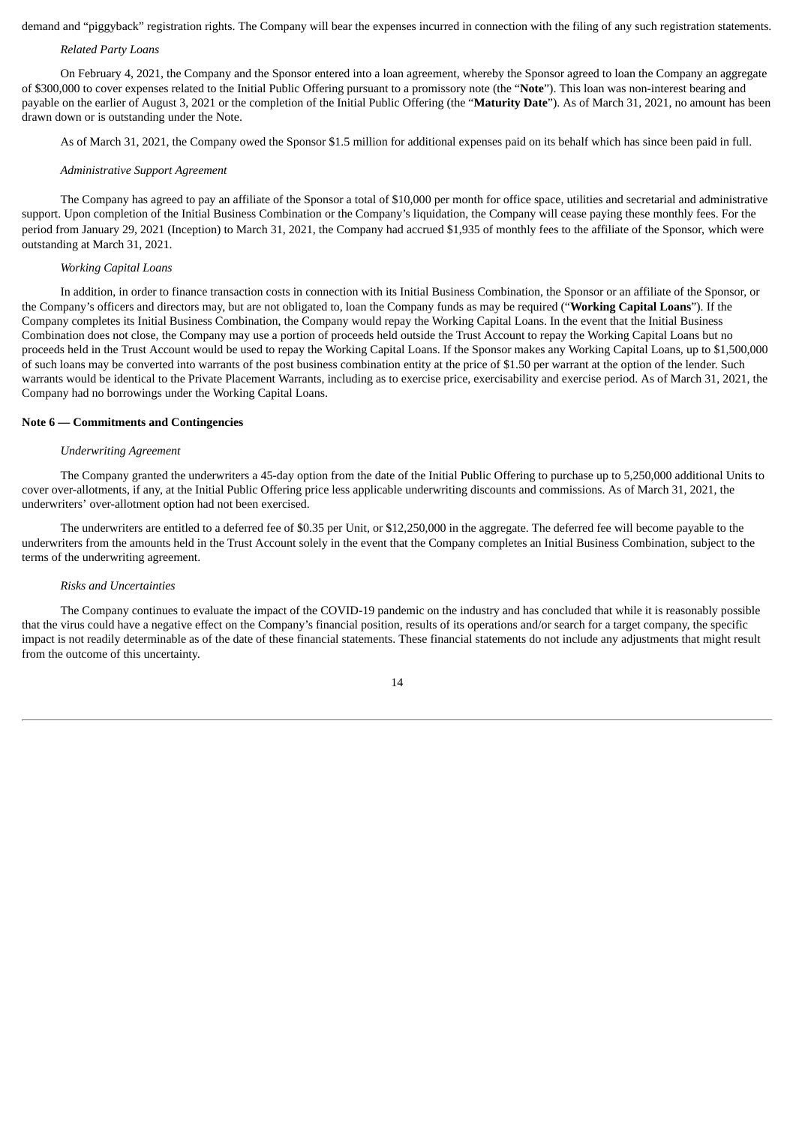demand and "piggyback" registration rights. The Company will bear the expenses incurred in connection with the filing of any such registration statements.

## *Related Party Loans*

On February 4, 2021, the Company and the Sponsor entered into a loan agreement, whereby the Sponsor agreed to loan the Company an aggregate of \$300,000 to cover expenses related to the Initial Public Offering pursuant to a promissory note (the "**Note**"). This loan was non-interest bearing and payable on the earlier of August 3, 2021 or the completion of the Initial Public Offering (the "**Maturity Date**"). As of March 31, 2021, no amount has been drawn down or is outstanding under the Note.

As of March 31, 2021, the Company owed the Sponsor \$1.5 million for additional expenses paid on its behalf which has since been paid in full.

#### *Administrative Support Agreement*

The Company has agreed to pay an affiliate of the Sponsor a total of \$10,000 per month for office space, utilities and secretarial and administrative support. Upon completion of the Initial Business Combination or the Company's liquidation, the Company will cease paying these monthly fees. For the period from January 29, 2021 (Inception) to March 31, 2021, the Company had accrued \$1,935 of monthly fees to the affiliate of the Sponsor, which were outstanding at March 31, 2021.

#### *Working Capital Loans*

In addition, in order to finance transaction costs in connection with its Initial Business Combination, the Sponsor or an affiliate of the Sponsor, or the Company's officers and directors may, but are not obligated to, loan the Company funds as may be required ("**Working Capital Loans**"). If the Company completes its Initial Business Combination, the Company would repay the Working Capital Loans. In the event that the Initial Business Combination does not close, the Company may use a portion of proceeds held outside the Trust Account to repay the Working Capital Loans but no proceeds held in the Trust Account would be used to repay the Working Capital Loans. If the Sponsor makes any Working Capital Loans, up to \$1,500,000 of such loans may be converted into warrants of the post business combination entity at the price of \$1.50 per warrant at the option of the lender. Such warrants would be identical to the Private Placement Warrants, including as to exercise price, exercisability and exercise period. As of March 31, 2021, the Company had no borrowings under the Working Capital Loans.

#### **Note 6 — Commitments and Contingencies**

## *Underwriting Agreement*

The Company granted the underwriters a 45-day option from the date of the Initial Public Offering to purchase up to 5,250,000 additional Units to cover over-allotments, if any, at the Initial Public Offering price less applicable underwriting discounts and commissions. As of March 31, 2021, the underwriters' over-allotment option had not been exercised.

The underwriters are entitled to a deferred fee of \$0.35 per Unit, or \$12,250,000 in the aggregate. The deferred fee will become payable to the underwriters from the amounts held in the Trust Account solely in the event that the Company completes an Initial Business Combination, subject to the terms of the underwriting agreement.

#### *Risks and Uncertainties*

The Company continues to evaluate the impact of the COVID-19 pandemic on the industry and has concluded that while it is reasonably possible that the virus could have a negative effect on the Company's financial position, results of its operations and/or search for a target company, the specific impact is not readily determinable as of the date of these financial statements. These financial statements do not include any adjustments that might result from the outcome of this uncertainty.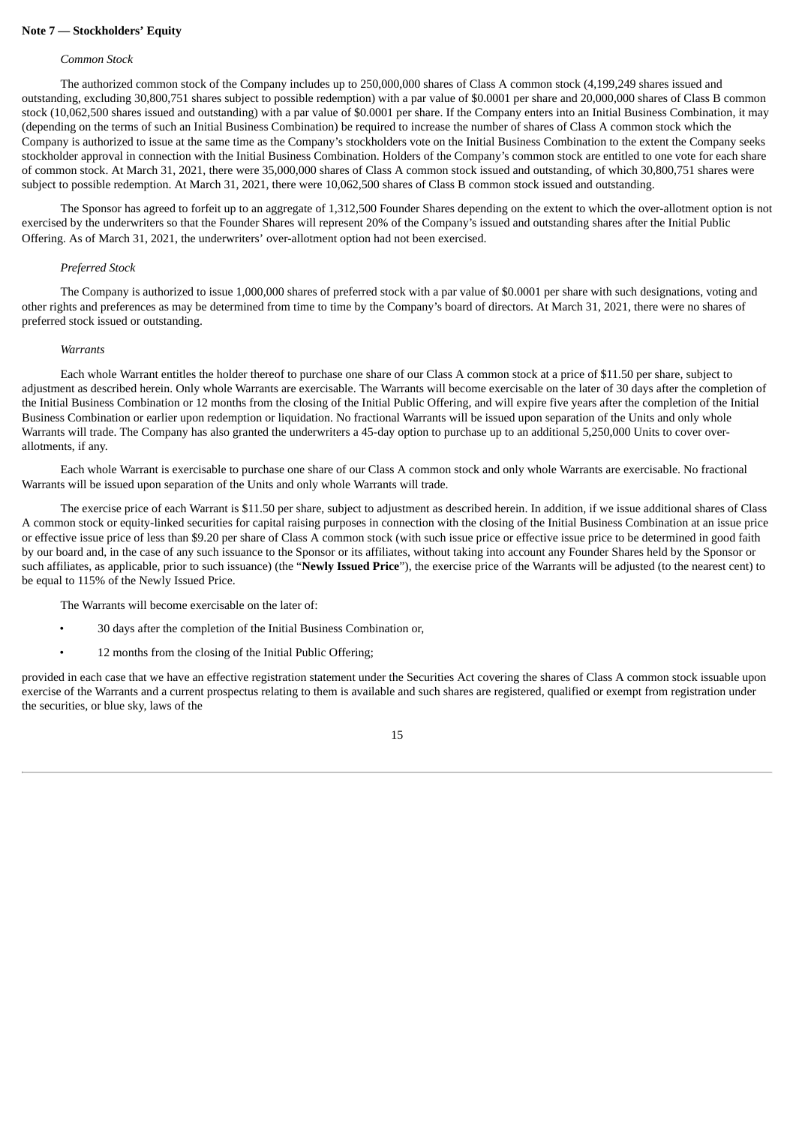# **Note 7 — Stockholders' Equity**

#### *Common Stock*

The authorized common stock of the Company includes up to 250,000,000 shares of Class A common stock (4,199,249 shares issued and outstanding, excluding 30,800,751 shares subject to possible redemption) with a par value of \$0.0001 per share and 20,000,000 shares of Class B common stock (10,062,500 shares issued and outstanding) with a par value of \$0.0001 per share. If the Company enters into an Initial Business Combination, it may (depending on the terms of such an Initial Business Combination) be required to increase the number of shares of Class A common stock which the Company is authorized to issue at the same time as the Company's stockholders vote on the Initial Business Combination to the extent the Company seeks stockholder approval in connection with the Initial Business Combination. Holders of the Company's common stock are entitled to one vote for each share of common stock. At March 31, 2021, there were 35,000,000 shares of Class A common stock issued and outstanding, of which 30,800,751 shares were subject to possible redemption. At March 31, 2021, there were 10,062,500 shares of Class B common stock issued and outstanding.

The Sponsor has agreed to forfeit up to an aggregate of 1,312,500 Founder Shares depending on the extent to which the over-allotment option is not exercised by the underwriters so that the Founder Shares will represent 20% of the Company's issued and outstanding shares after the Initial Public Offering. As of March 31, 2021, the underwriters' over-allotment option had not been exercised.

#### *Preferred Stock*

The Company is authorized to issue 1,000,000 shares of preferred stock with a par value of \$0.0001 per share with such designations, voting and other rights and preferences as may be determined from time to time by the Company's board of directors. At March 31, 2021, there were no shares of preferred stock issued or outstanding.

#### *Warrants*

Each whole Warrant entitles the holder thereof to purchase one share of our Class A common stock at a price of \$11.50 per share, subject to adjustment as described herein. Only whole Warrants are exercisable. The Warrants will become exercisable on the later of 30 days after the completion of the Initial Business Combination or 12 months from the closing of the Initial Public Offering, and will expire five years after the completion of the Initial Business Combination or earlier upon redemption or liquidation. No fractional Warrants will be issued upon separation of the Units and only whole Warrants will trade. The Company has also granted the underwriters a 45-day option to purchase up to an additional 5,250,000 Units to cover overallotments, if any.

Each whole Warrant is exercisable to purchase one share of our Class A common stock and only whole Warrants are exercisable. No fractional Warrants will be issued upon separation of the Units and only whole Warrants will trade.

The exercise price of each Warrant is \$11.50 per share, subject to adjustment as described herein. In addition, if we issue additional shares of Class A common stock or equity-linked securities for capital raising purposes in connection with the closing of the Initial Business Combination at an issue price or effective issue price of less than \$9.20 per share of Class A common stock (with such issue price or effective issue price to be determined in good faith by our board and, in the case of any such issuance to the Sponsor or its affiliates, without taking into account any Founder Shares held by the Sponsor or such affiliates, as applicable, prior to such issuance) (the "**Newly Issued Price**"), the exercise price of the Warrants will be adjusted (to the nearest cent) to be equal to 115% of the Newly Issued Price.

The Warrants will become exercisable on the later of:

- 30 days after the completion of the Initial Business Combination or,
- 12 months from the closing of the Initial Public Offering;

provided in each case that we have an effective registration statement under the Securities Act covering the shares of Class A common stock issuable upon exercise of the Warrants and a current prospectus relating to them is available and such shares are registered, qualified or exempt from registration under the securities, or blue sky, laws of the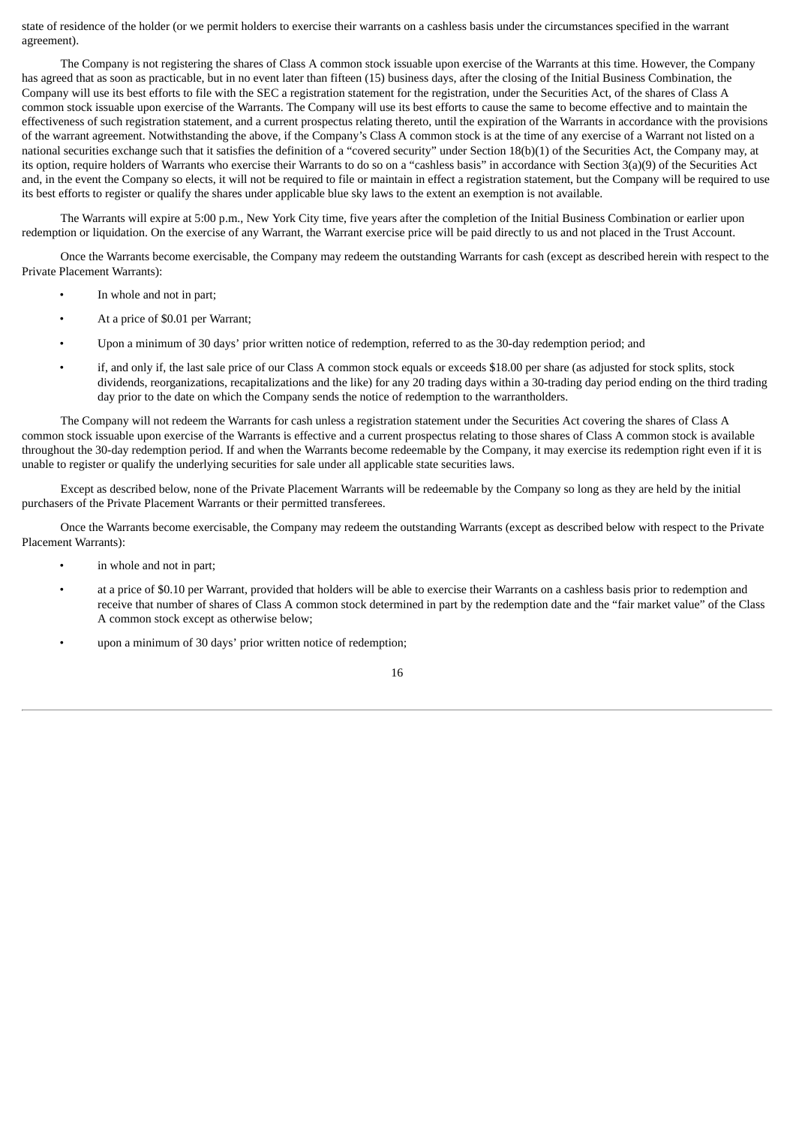state of residence of the holder (or we permit holders to exercise their warrants on a cashless basis under the circumstances specified in the warrant agreement).

The Company is not registering the shares of Class A common stock issuable upon exercise of the Warrants at this time. However, the Company has agreed that as soon as practicable, but in no event later than fifteen (15) business days, after the closing of the Initial Business Combination, the Company will use its best efforts to file with the SEC a registration statement for the registration, under the Securities Act, of the shares of Class A common stock issuable upon exercise of the Warrants. The Company will use its best efforts to cause the same to become effective and to maintain the effectiveness of such registration statement, and a current prospectus relating thereto, until the expiration of the Warrants in accordance with the provisions of the warrant agreement. Notwithstanding the above, if the Company's Class A common stock is at the time of any exercise of a Warrant not listed on a national securities exchange such that it satisfies the definition of a "covered security" under Section 18(b)(1) of the Securities Act, the Company may, at its option, require holders of Warrants who exercise their Warrants to do so on a "cashless basis" in accordance with Section 3(a)(9) of the Securities Act and, in the event the Company so elects, it will not be required to file or maintain in effect a registration statement, but the Company will be required to use its best efforts to register or qualify the shares under applicable blue sky laws to the extent an exemption is not available.

The Warrants will expire at 5:00 p.m., New York City time, five years after the completion of the Initial Business Combination or earlier upon redemption or liquidation. On the exercise of any Warrant, the Warrant exercise price will be paid directly to us and not placed in the Trust Account.

Once the Warrants become exercisable, the Company may redeem the outstanding Warrants for cash (except as described herein with respect to the Private Placement Warrants):

- In whole and not in part;
- At a price of \$0.01 per Warrant;
- Upon a minimum of 30 days' prior written notice of redemption, referred to as the 30-day redemption period; and
- if, and only if, the last sale price of our Class A common stock equals or exceeds \$18.00 per share (as adjusted for stock splits, stock dividends, reorganizations, recapitalizations and the like) for any 20 trading days within a 30-trading day period ending on the third trading day prior to the date on which the Company sends the notice of redemption to the warrantholders.

The Company will not redeem the Warrants for cash unless a registration statement under the Securities Act covering the shares of Class A common stock issuable upon exercise of the Warrants is effective and a current prospectus relating to those shares of Class A common stock is available throughout the 30-day redemption period. If and when the Warrants become redeemable by the Company, it may exercise its redemption right even if it is unable to register or qualify the underlying securities for sale under all applicable state securities laws.

Except as described below, none of the Private Placement Warrants will be redeemable by the Company so long as they are held by the initial purchasers of the Private Placement Warrants or their permitted transferees.

Once the Warrants become exercisable, the Company may redeem the outstanding Warrants (except as described below with respect to the Private Placement Warrants):

- in whole and not in part:
- at a price of \$0.10 per Warrant, provided that holders will be able to exercise their Warrants on a cashless basis prior to redemption and receive that number of shares of Class A common stock determined in part by the redemption date and the "fair market value" of the Class A common stock except as otherwise below;
- upon a minimum of 30 days' prior written notice of redemption;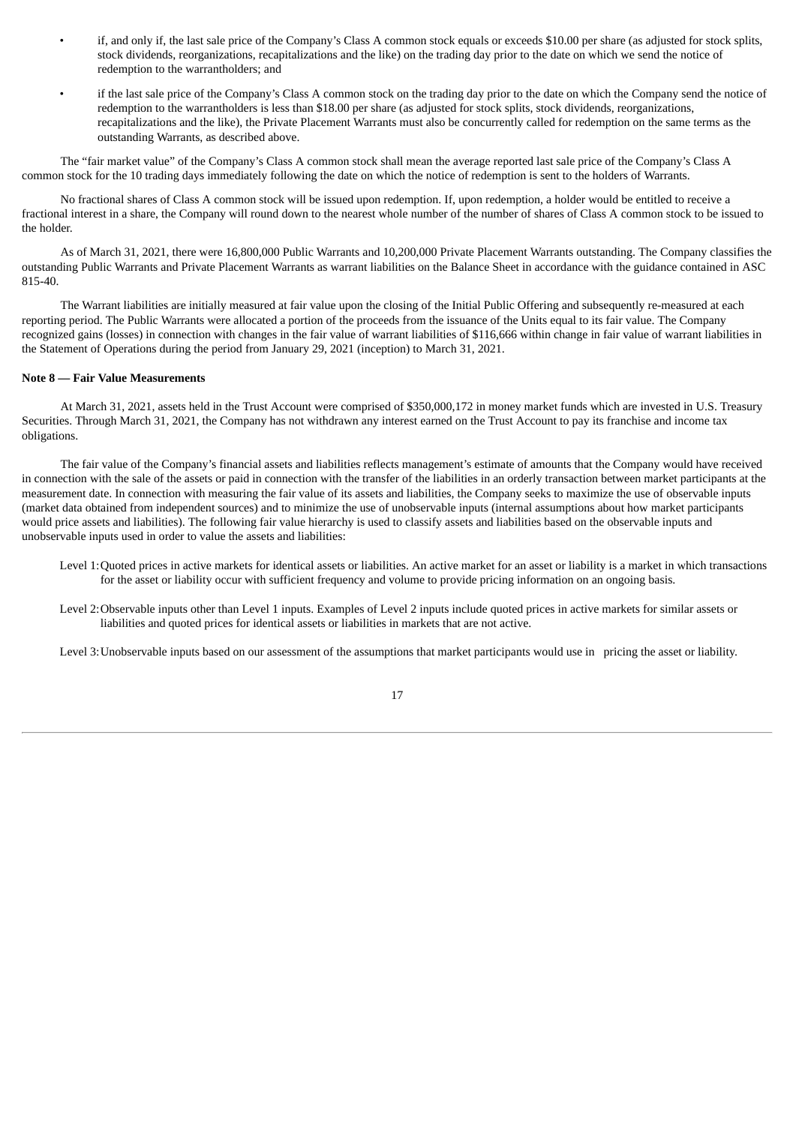- if, and only if, the last sale price of the Company's Class A common stock equals or exceeds \$10.00 per share (as adjusted for stock splits, stock dividends, reorganizations, recapitalizations and the like) on the trading day prior to the date on which we send the notice of redemption to the warrantholders; and
- if the last sale price of the Company's Class A common stock on the trading day prior to the date on which the Company send the notice of redemption to the warrantholders is less than \$18.00 per share (as adjusted for stock splits, stock dividends, reorganizations, recapitalizations and the like), the Private Placement Warrants must also be concurrently called for redemption on the same terms as the outstanding Warrants, as described above.

The "fair market value" of the Company's Class A common stock shall mean the average reported last sale price of the Company's Class A common stock for the 10 trading days immediately following the date on which the notice of redemption is sent to the holders of Warrants.

No fractional shares of Class A common stock will be issued upon redemption. If, upon redemption, a holder would be entitled to receive a fractional interest in a share, the Company will round down to the nearest whole number of the number of shares of Class A common stock to be issued to the holder.

As of March 31, 2021, there were 16,800,000 Public Warrants and 10,200,000 Private Placement Warrants outstanding. The Company classifies the outstanding Public Warrants and Private Placement Warrants as warrant liabilities on the Balance Sheet in accordance with the guidance contained in ASC 815-40.

The Warrant liabilities are initially measured at fair value upon the closing of the Initial Public Offering and subsequently re-measured at each reporting period. The Public Warrants were allocated a portion of the proceeds from the issuance of the Units equal to its fair value. The Company recognized gains (losses) in connection with changes in the fair value of warrant liabilities of \$116,666 within change in fair value of warrant liabilities in the Statement of Operations during the period from January 29, 2021 (inception) to March 31, 2021.

## **Note 8 — Fair Value Measurements**

At March 31, 2021, assets held in the Trust Account were comprised of \$350,000,172 in money market funds which are invested in U.S. Treasury Securities. Through March 31, 2021, the Company has not withdrawn any interest earned on the Trust Account to pay its franchise and income tax obligations.

The fair value of the Company's financial assets and liabilities reflects management's estimate of amounts that the Company would have received in connection with the sale of the assets or paid in connection with the transfer of the liabilities in an orderly transaction between market participants at the measurement date. In connection with measuring the fair value of its assets and liabilities, the Company seeks to maximize the use of observable inputs (market data obtained from independent sources) and to minimize the use of unobservable inputs (internal assumptions about how market participants would price assets and liabilities). The following fair value hierarchy is used to classify assets and liabilities based on the observable inputs and unobservable inputs used in order to value the assets and liabilities:

- Level 1:Quoted prices in active markets for identical assets or liabilities. An active market for an asset or liability is a market in which transactions for the asset or liability occur with sufficient frequency and volume to provide pricing information on an ongoing basis.
- Level 2:Observable inputs other than Level 1 inputs. Examples of Level 2 inputs include quoted prices in active markets for similar assets or liabilities and quoted prices for identical assets or liabilities in markets that are not active.

Level 3:Unobservable inputs based on our assessment of the assumptions that market participants would use in pricing the asset or liability.

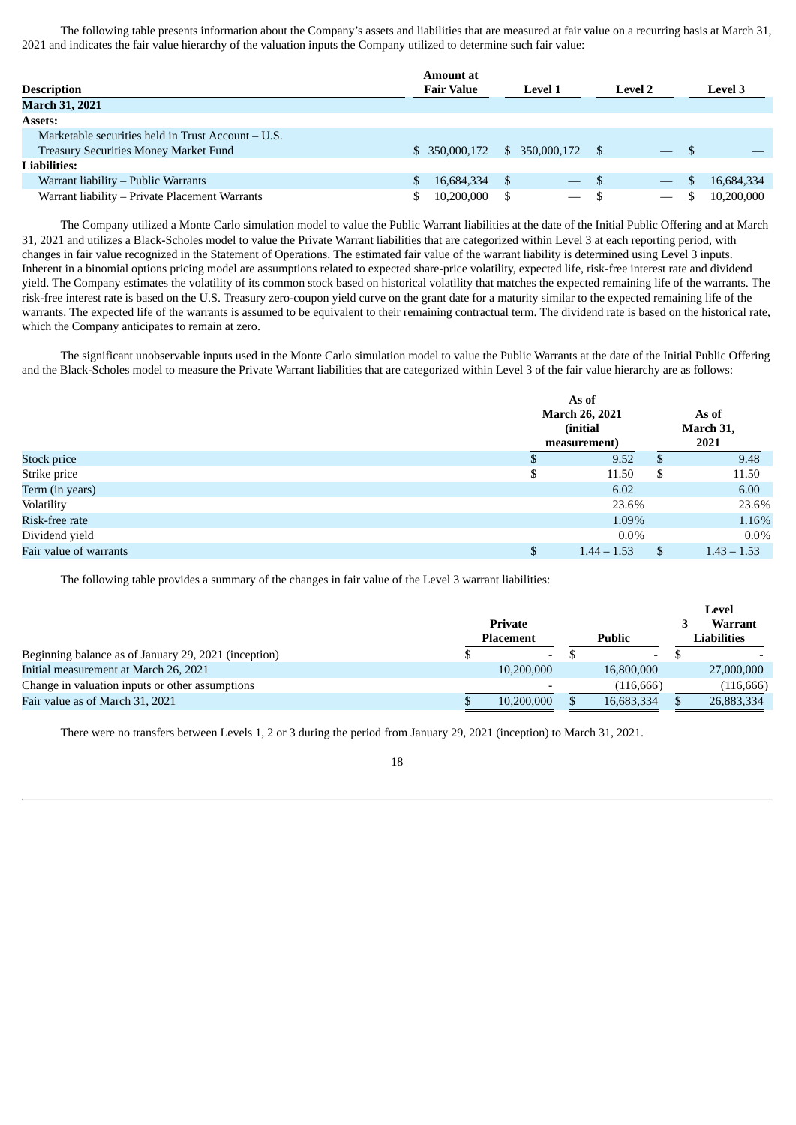The following table presents information about the Company's assets and liabilities that are measured at fair value on a recurring basis at March 31, 2021 and indicates the fair value hierarchy of the valuation inputs the Company utilized to determine such fair value:

|                                                      | Amount at         |                          |                                  |                |
|------------------------------------------------------|-------------------|--------------------------|----------------------------------|----------------|
| <b>Description</b>                                   | <b>Fair Value</b> | <b>Level 1</b>           | <b>Level 2</b>                   | <b>Level</b> 3 |
| <b>March 31, 2021</b>                                |                   |                          |                                  |                |
| <b>Assets:</b>                                       |                   |                          |                                  |                |
| Marketable securities held in Trust Account $- U.S.$ |                   |                          |                                  |                |
| <b>Treasury Securities Money Market Fund</b>         | \$ 350,000,172    | \$ 350,000,172           | - \$<br>$\overline{\phantom{a}}$ |                |
| <b>Liabilities:</b>                                  |                   |                          |                                  |                |
| Warrant liability – Public Warrants                  | 16,684,334        | S<br>$-$ \$              | $\hspace{0.1mm}-\hspace{0.1mm}$  | 16,684,334     |
| Warrant liability - Private Placement Warrants       | 10,200,000        | $\overline{\phantom{0}}$ | $\hspace{0.1mm}-\hspace{0.1mm}$  | 10,200,000     |

The Company utilized a Monte Carlo simulation model to value the Public Warrant liabilities at the date of the Initial Public Offering and at March 31, 2021 and utilizes a Black-Scholes model to value the Private Warrant liabilities that are categorized within Level 3 at each reporting period, with changes in fair value recognized in the Statement of Operations. The estimated fair value of the warrant liability is determined using Level 3 inputs. Inherent in a binomial options pricing model are assumptions related to expected share-price volatility, expected life, risk-free interest rate and dividend yield. The Company estimates the volatility of its common stock based on historical volatility that matches the expected remaining life of the warrants. The risk-free interest rate is based on the U.S. Treasury zero-coupon yield curve on the grant date for a maturity similar to the expected remaining life of the warrants. The expected life of the warrants is assumed to be equivalent to their remaining contractual term. The dividend rate is based on the historical rate, which the Company anticipates to remain at zero.

The significant unobservable inputs used in the Monte Carlo simulation model to value the Public Warrants at the date of the Initial Public Offering and the Black-Scholes model to measure the Private Warrant liabilities that are categorized within Level 3 of the fair value hierarchy are as follows:

|                        |    | As of<br><b>March 26, 2021</b> | As of        |               |
|------------------------|----|--------------------------------|--------------|---------------|
|                        |    | (initial)                      | March 31,    |               |
|                        |    | measurement)                   |              | 2021          |
| <b>Stock price</b>     | D  | 9.52                           | $\mathbf{S}$ | 9.48          |
| Strike price           | \$ | 11.50                          | \$           | 11.50         |
| Term (in years)        |    | 6.02                           |              | 6.00          |
| Volatility             |    | 23.6%                          |              | 23.6%         |
| Risk-free rate         |    | 1.09%                          |              | 1.16%         |
| Dividend yield         |    | $0.0\%$                        |              | $0.0\%$       |
| Fair value of warrants | \$ | $1.44 - 1.53$                  | \$           | $1.43 - 1.53$ |

The following table provides a summary of the changes in fair value of the Level 3 warrant liabilities:

|                                                      |                  |               |                          |             | Level          |
|------------------------------------------------------|------------------|---------------|--------------------------|-------------|----------------|
|                                                      | Private          |               |                          |             | <b>Warrant</b> |
|                                                      | <b>Placement</b> | <b>Public</b> |                          | Liabilities |                |
| Beginning balance as of January 29, 2021 (inception) | $\sim$           |               | $\overline{\phantom{a}}$ |             |                |
| Initial measurement at March 26, 2021                | 10,200,000       |               | 16,800,000               |             | 27,000,000     |
| Change in valuation inputs or other assumptions      |                  |               | (116.666)                |             | (116, 666)     |
| Fair value as of March 31, 2021                      | 10.200.000       |               | 16,683,334               |             | 26,883,334     |

There were no transfers between Levels 1, 2 or 3 during the period from January 29, 2021 (inception) to March 31, 2021.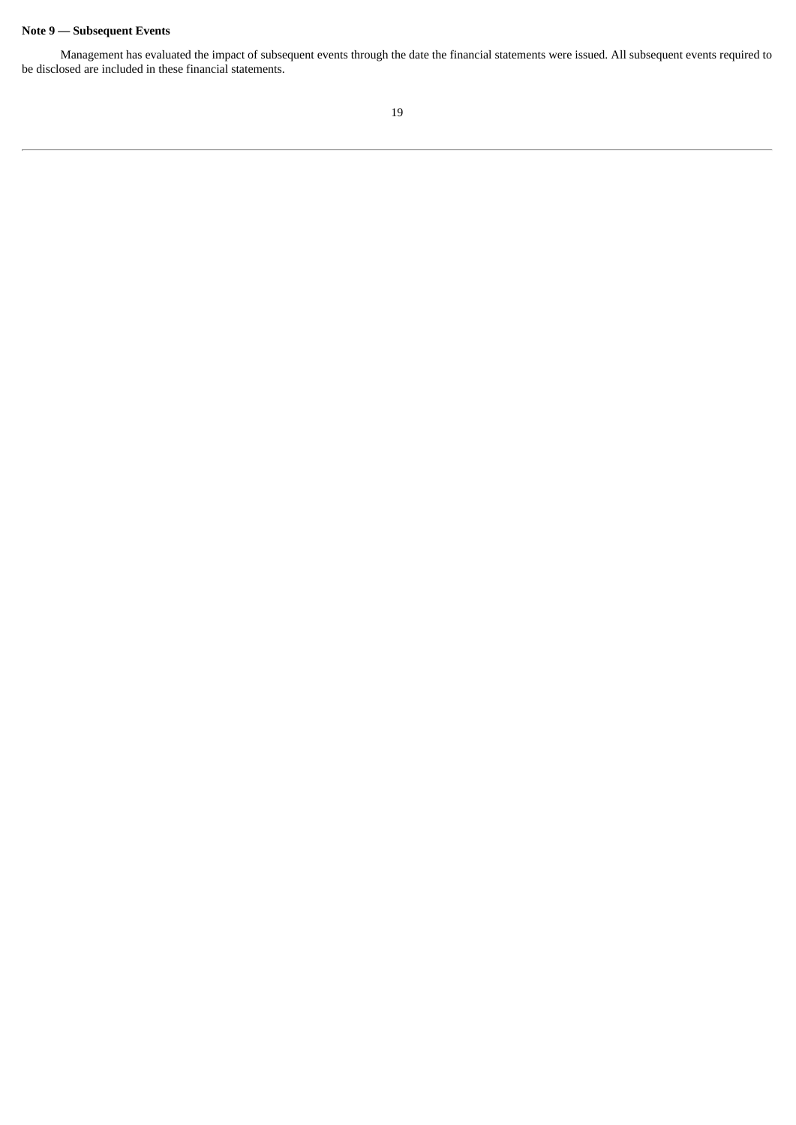# **Note 9 — Subsequent Events**

Management has evaluated the impact of subsequent events through the date the financial statements were issued. All subsequent events required to be disclosed are included in these financial statements.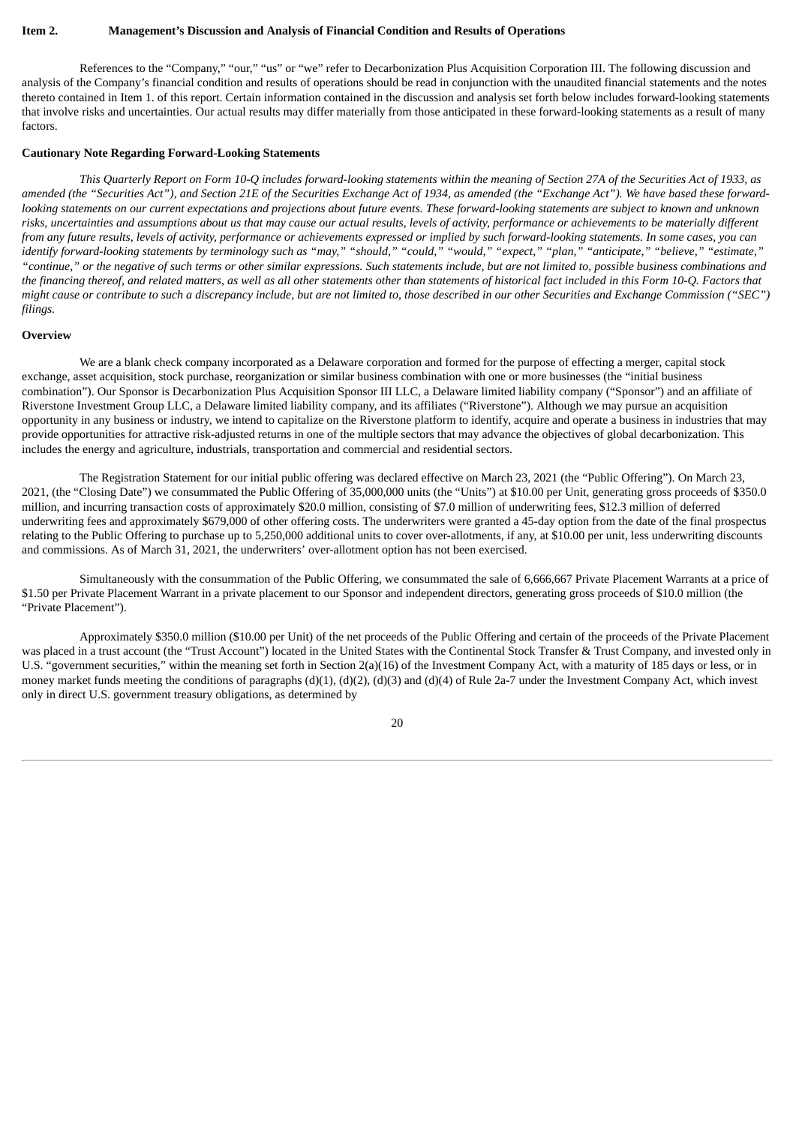# <span id="page-20-0"></span>**Item 2. Management's Discussion and Analysis of Financial Condition and Results of Operations**

References to the "Company," "our," "us" or "we" refer to Decarbonization Plus Acquisition Corporation III. The following discussion and analysis of the Company's financial condition and results of operations should be read in conjunction with the unaudited financial statements and the notes thereto contained in Item 1. of this report. Certain information contained in the discussion and analysis set forth below includes forward-looking statements that involve risks and uncertainties. Our actual results may differ materially from those anticipated in these forward-looking statements as a result of many factors.

## **Cautionary Note Regarding Forward-Looking Statements**

This Quarterly Report on Form 10-Q includes forward-looking statements within the meaning of Section 27A of the Securities Act of 1933, as amended (the "Securities Act"), and Section 21E of the Securities Exchange Act of 1934, as amended (the "Exchange Act"). We have based these forwardlooking statements on our current expectations and projections about future events. These forward-looking statements are subject to known and unknown risks, uncertainties and assumptions about us that may cause our actual results, levels of activity, performance or achievements to be materially different from any future results, levels of activity, performance or achievements expressed or implied by such forward-looking statements. In some cases, you can identify forward-looking statements by terminology such as "may," "should," "could," "would," "expect," "plan," "anticipate," "believe," "estimate," "continue," or the negative of such terms or other similar expressions. Such statements include, but are not limited to, possible business combinations and the financing thereof, and related matters, as well as all other statements other than statements of historical fact included in this Form 10-Q. Factors that might cause or contribute to such a discrepancy include, but are not limited to, those described in our other Securities and Exchange Commission ("SEC") *filings.*

#### **Overview**

We are a blank check company incorporated as a Delaware corporation and formed for the purpose of effecting a merger, capital stock exchange, asset acquisition, stock purchase, reorganization or similar business combination with one or more businesses (the "initial business combination"). Our Sponsor is Decarbonization Plus Acquisition Sponsor III LLC, a Delaware limited liability company ("Sponsor") and an affiliate of Riverstone Investment Group LLC, a Delaware limited liability company, and its affiliates ("Riverstone"). Although we may pursue an acquisition opportunity in any business or industry, we intend to capitalize on the Riverstone platform to identify, acquire and operate a business in industries that may provide opportunities for attractive risk-adjusted returns in one of the multiple sectors that may advance the objectives of global decarbonization. This includes the energy and agriculture, industrials, transportation and commercial and residential sectors.

The Registration Statement for our initial public offering was declared effective on March 23, 2021 (the "Public Offering"). On March 23, 2021, (the "Closing Date") we consummated the Public Offering of 35,000,000 units (the "Units") at \$10.00 per Unit, generating gross proceeds of \$350.0 million, and incurring transaction costs of approximately \$20.0 million, consisting of \$7.0 million of underwriting fees, \$12.3 million of deferred underwriting fees and approximately \$679,000 of other offering costs. The underwriters were granted a 45-day option from the date of the final prospectus relating to the Public Offering to purchase up to 5,250,000 additional units to cover over-allotments, if any, at \$10.00 per unit, less underwriting discounts and commissions. As of March 31, 2021, the underwriters' over-allotment option has not been exercised.

Simultaneously with the consummation of the Public Offering, we consummated the sale of 6,666,667 Private Placement Warrants at a price of \$1.50 per Private Placement Warrant in a private placement to our Sponsor and independent directors, generating gross proceeds of \$10.0 million (the "Private Placement").

Approximately \$350.0 million (\$10.00 per Unit) of the net proceeds of the Public Offering and certain of the proceeds of the Private Placement was placed in a trust account (the "Trust Account") located in the United States with the Continental Stock Transfer & Trust Company, and invested only in U.S. "government securities," within the meaning set forth in Section 2(a)(16) of the Investment Company Act, with a maturity of 185 days or less, or in money market funds meeting the conditions of paragraphs (d)(1), (d)(2), (d)(3) and (d)(4) of Rule 2a-7 under the Investment Company Act, which invest only in direct U.S. government treasury obligations, as determined by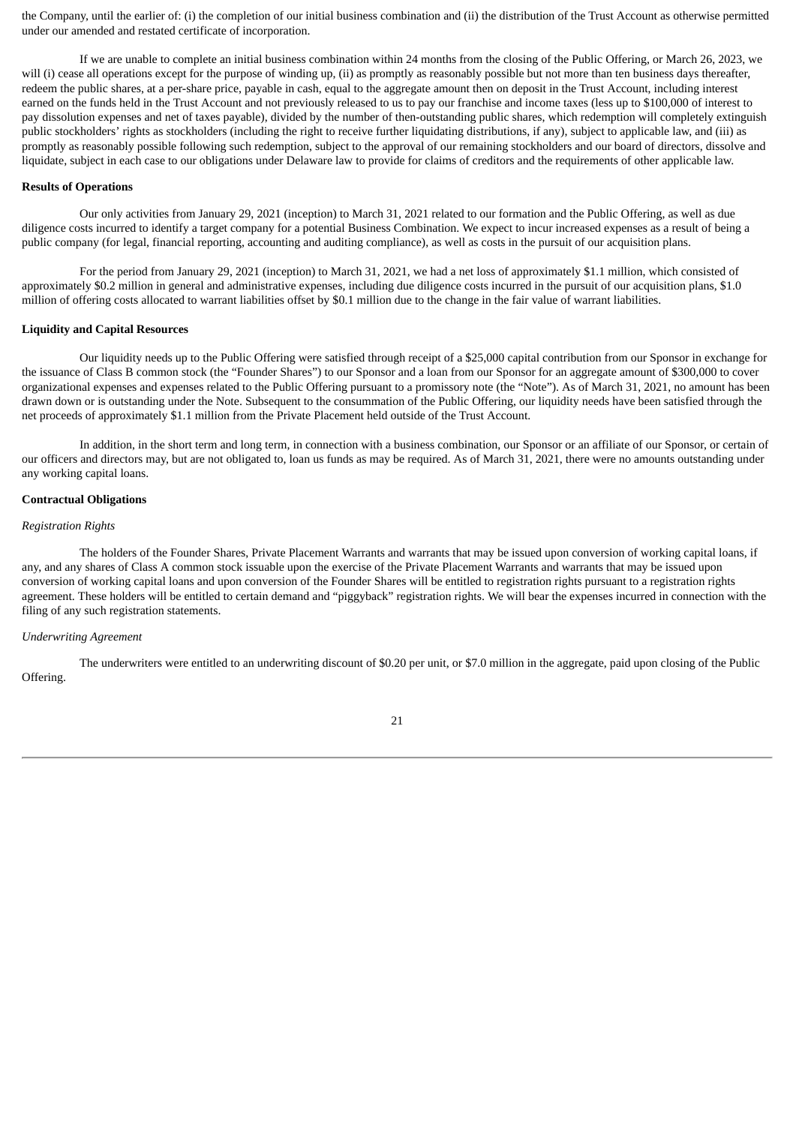the Company, until the earlier of: (i) the completion of our initial business combination and (ii) the distribution of the Trust Account as otherwise permitted under our amended and restated certificate of incorporation.

If we are unable to complete an initial business combination within 24 months from the closing of the Public Offering, or March 26, 2023, we will (i) cease all operations except for the purpose of winding up, (ii) as promptly as reasonably possible but not more than ten business days thereafter, redeem the public shares, at a per-share price, payable in cash, equal to the aggregate amount then on deposit in the Trust Account, including interest earned on the funds held in the Trust Account and not previously released to us to pay our franchise and income taxes (less up to \$100,000 of interest to pay dissolution expenses and net of taxes payable), divided by the number of then-outstanding public shares, which redemption will completely extinguish public stockholders' rights as stockholders (including the right to receive further liquidating distributions, if any), subject to applicable law, and (iii) as promptly as reasonably possible following such redemption, subject to the approval of our remaining stockholders and our board of directors, dissolve and liquidate, subject in each case to our obligations under Delaware law to provide for claims of creditors and the requirements of other applicable law.

## **Results of Operations**

Our only activities from January 29, 2021 (inception) to March 31, 2021 related to our formation and the Public Offering, as well as due diligence costs incurred to identify a target company for a potential Business Combination. We expect to incur increased expenses as a result of being a public company (for legal, financial reporting, accounting and auditing compliance), as well as costs in the pursuit of our acquisition plans.

For the period from January 29, 2021 (inception) to March 31, 2021, we had a net loss of approximately \$1.1 million, which consisted of approximately \$0.2 million in general and administrative expenses, including due diligence costs incurred in the pursuit of our acquisition plans, \$1.0 million of offering costs allocated to warrant liabilities offset by \$0.1 million due to the change in the fair value of warrant liabilities.

## **Liquidity and Capital Resources**

Our liquidity needs up to the Public Offering were satisfied through receipt of a \$25,000 capital contribution from our Sponsor in exchange for the issuance of Class B common stock (the "Founder Shares") to our Sponsor and a loan from our Sponsor for an aggregate amount of \$300,000 to cover organizational expenses and expenses related to the Public Offering pursuant to a promissory note (the "Note"). As of March 31, 2021, no amount has been drawn down or is outstanding under the Note. Subsequent to the consummation of the Public Offering, our liquidity needs have been satisfied through the net proceeds of approximately \$1.1 million from the Private Placement held outside of the Trust Account.

In addition, in the short term and long term, in connection with a business combination, our Sponsor or an affiliate of our Sponsor, or certain of our officers and directors may, but are not obligated to, loan us funds as may be required. As of March 31, 2021, there were no amounts outstanding under any working capital loans.

## **Contractual Obligations**

# *Registration Rights*

The holders of the Founder Shares, Private Placement Warrants and warrants that may be issued upon conversion of working capital loans, if any, and any shares of Class A common stock issuable upon the exercise of the Private Placement Warrants and warrants that may be issued upon conversion of working capital loans and upon conversion of the Founder Shares will be entitled to registration rights pursuant to a registration rights agreement. These holders will be entitled to certain demand and "piggyback" registration rights. We will bear the expenses incurred in connection with the filing of any such registration statements.

# *Underwriting Agreement*

The underwriters were entitled to an underwriting discount of \$0.20 per unit, or \$7.0 million in the aggregate, paid upon closing of the Public Offering.

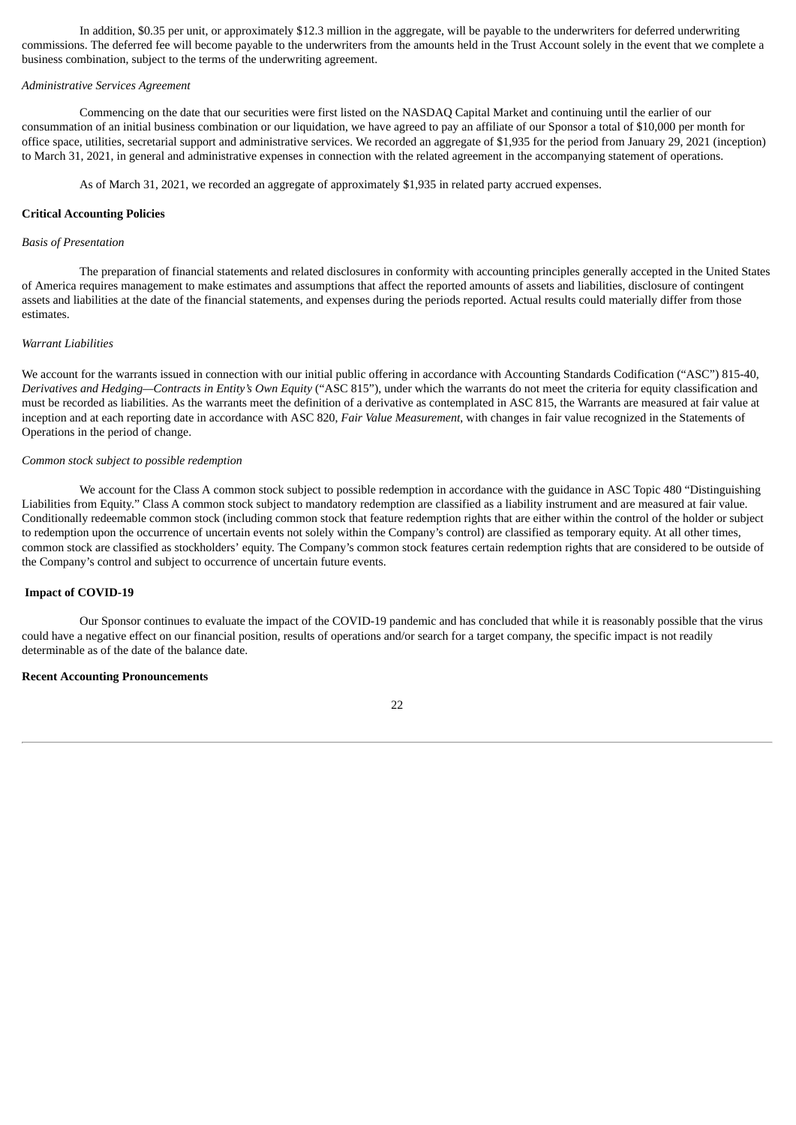In addition, \$0.35 per unit, or approximately \$12.3 million in the aggregate, will be payable to the underwriters for deferred underwriting commissions. The deferred fee will become payable to the underwriters from the amounts held in the Trust Account solely in the event that we complete a business combination, subject to the terms of the underwriting agreement.

# *Administrative Services Agreement*

Commencing on the date that our securities were first listed on the NASDAQ Capital Market and continuing until the earlier of our consummation of an initial business combination or our liquidation, we have agreed to pay an affiliate of our Sponsor a total of \$10,000 per month for office space, utilities, secretarial support and administrative services. We recorded an aggregate of \$1,935 for the period from January 29, 2021 (inception) to March 31, 2021, in general and administrative expenses in connection with the related agreement in the accompanying statement of operations.

As of March 31, 2021, we recorded an aggregate of approximately \$1,935 in related party accrued expenses.

# **Critical Accounting Policies**

#### *Basis of Presentation*

The preparation of financial statements and related disclosures in conformity with accounting principles generally accepted in the United States of America requires management to make estimates and assumptions that affect the reported amounts of assets and liabilities, disclosure of contingent assets and liabilities at the date of the financial statements, and expenses during the periods reported. Actual results could materially differ from those estimates.

## *Warrant Liabilities*

We account for the warrants issued in connection with our initial public offering in accordance with Accounting Standards Codification ("ASC") 815-40, *Derivatives and Hedging—Contracts in Entity's Own Equity* ("ASC 815"), under which the warrants do not meet the criteria for equity classification and must be recorded as liabilities. As the warrants meet the definition of a derivative as contemplated in ASC 815, the Warrants are measured at fair value at inception and at each reporting date in accordance with ASC 820, *Fair Value Measurement*, with changes in fair value recognized in the Statements of Operations in the period of change.

## *Common stock subject to possible redemption*

We account for the Class A common stock subject to possible redemption in accordance with the guidance in ASC Topic 480 "Distinguishing Liabilities from Equity." Class A common stock subject to mandatory redemption are classified as a liability instrument and are measured at fair value. Conditionally redeemable common stock (including common stock that feature redemption rights that are either within the control of the holder or subject to redemption upon the occurrence of uncertain events not solely within the Company's control) are classified as temporary equity. At all other times, common stock are classified as stockholders' equity. The Company's common stock features certain redemption rights that are considered to be outside of the Company's control and subject to occurrence of uncertain future events.

## **Impact of COVID-19**

Our Sponsor continues to evaluate the impact of the COVID-19 pandemic and has concluded that while it is reasonably possible that the virus could have a negative effect on our financial position, results of operations and/or search for a target company, the specific impact is not readily determinable as of the date of the balance date.

## **Recent Accounting Pronouncements**

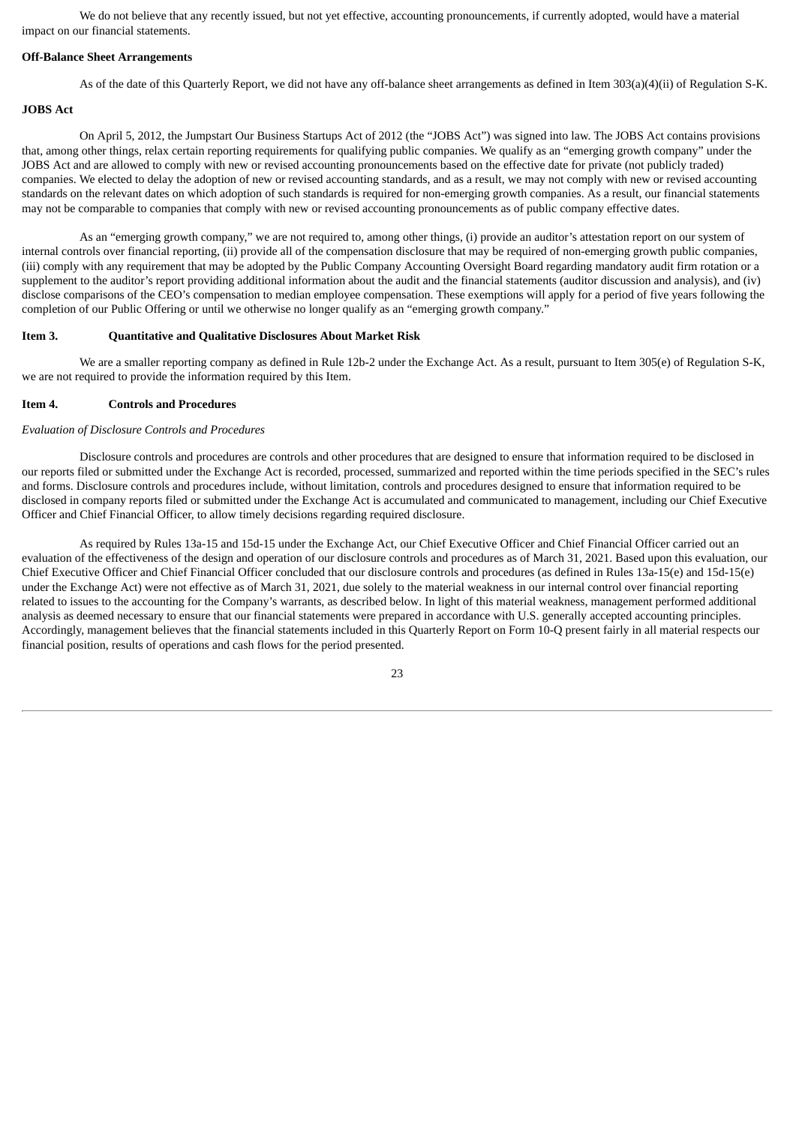We do not believe that any recently issued, but not yet effective, accounting pronouncements, if currently adopted, would have a material impact on our financial statements.

#### **Off-Balance Sheet Arrangements**

As of the date of this Quarterly Report, we did not have any off-balance sheet arrangements as defined in Item 303(a)(4)(ii) of Regulation S-K.

# **JOBS Act**

On April 5, 2012, the Jumpstart Our Business Startups Act of 2012 (the "JOBS Act") was signed into law. The JOBS Act contains provisions that, among other things, relax certain reporting requirements for qualifying public companies. We qualify as an "emerging growth company" under the JOBS Act and are allowed to comply with new or revised accounting pronouncements based on the effective date for private (not publicly traded) companies. We elected to delay the adoption of new or revised accounting standards, and as a result, we may not comply with new or revised accounting standards on the relevant dates on which adoption of such standards is required for non-emerging growth companies. As a result, our financial statements may not be comparable to companies that comply with new or revised accounting pronouncements as of public company effective dates.

As an "emerging growth company," we are not required to, among other things, (i) provide an auditor's attestation report on our system of internal controls over financial reporting, (ii) provide all of the compensation disclosure that may be required of non-emerging growth public companies, (iii) comply with any requirement that may be adopted by the Public Company Accounting Oversight Board regarding mandatory audit firm rotation or a supplement to the auditor's report providing additional information about the audit and the financial statements (auditor discussion and analysis), and (iv) disclose comparisons of the CEO's compensation to median employee compensation. These exemptions will apply for a period of five years following the completion of our Public Offering or until we otherwise no longer qualify as an "emerging growth company."

#### <span id="page-23-0"></span>**Item 3. Quantitative and Qualitative Disclosures About Market Risk**

We are a smaller reporting company as defined in Rule 12b-2 under the Exchange Act. As a result, pursuant to Item 305(e) of Regulation S-K, we are not required to provide the information required by this Item.

## <span id="page-23-1"></span>**Item 4. Controls and Procedures**

## *Evaluation of Disclosure Controls and Procedures*

Disclosure controls and procedures are controls and other procedures that are designed to ensure that information required to be disclosed in our reports filed or submitted under the Exchange Act is recorded, processed, summarized and reported within the time periods specified in the SEC's rules and forms. Disclosure controls and procedures include, without limitation, controls and procedures designed to ensure that information required to be disclosed in company reports filed or submitted under the Exchange Act is accumulated and communicated to management, including our Chief Executive Officer and Chief Financial Officer, to allow timely decisions regarding required disclosure.

As required by Rules 13a-15 and 15d-15 under the Exchange Act, our Chief Executive Officer and Chief Financial Officer carried out an evaluation of the effectiveness of the design and operation of our disclosure controls and procedures as of March 31, 2021. Based upon this evaluation, our Chief Executive Officer and Chief Financial Officer concluded that our disclosure controls and procedures (as defined in Rules 13a-15(e) and 15d-15(e) under the Exchange Act) were not effective as of March 31, 2021, due solely to the material weakness in our internal control over financial reporting related to issues to the accounting for the Company's warrants, as described below. In light of this material weakness, management performed additional analysis as deemed necessary to ensure that our financial statements were prepared in accordance with U.S. generally accepted accounting principles. Accordingly, management believes that the financial statements included in this Quarterly Report on Form 10-Q present fairly in all material respects our financial position, results of operations and cash flows for the period presented.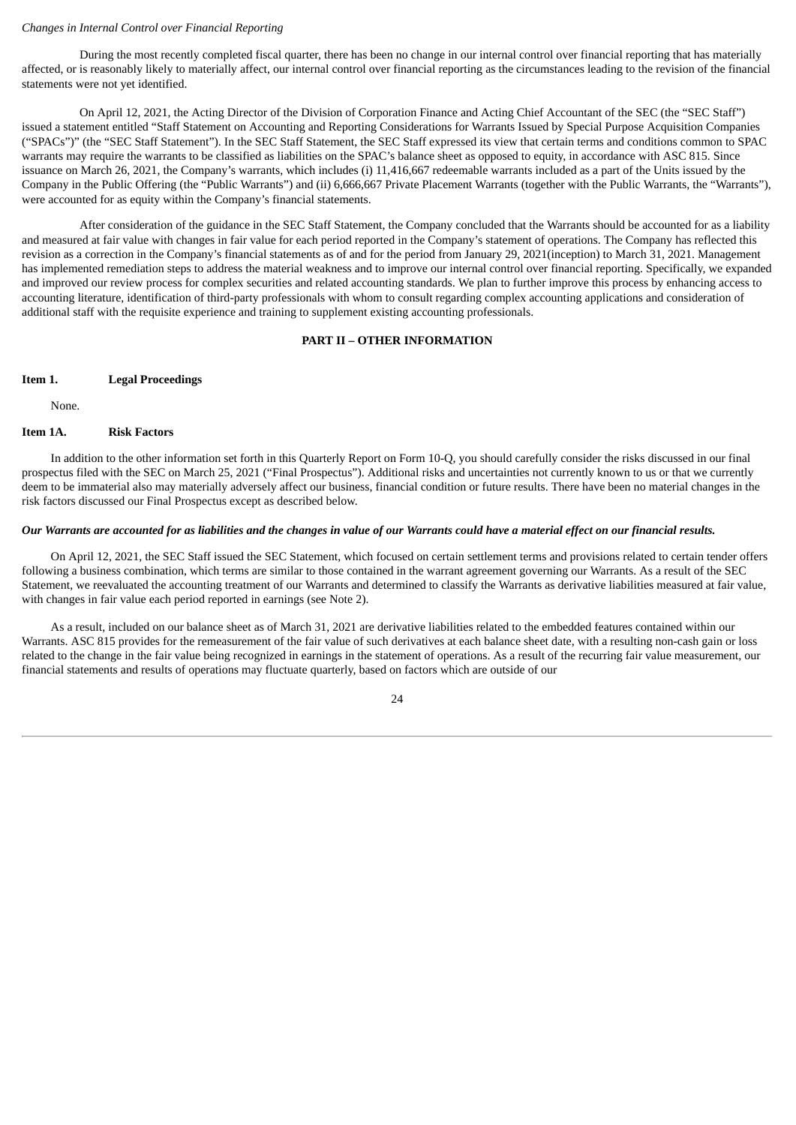#### *Changes in Internal Control over Financial Reporting*

During the most recently completed fiscal quarter, there has been no change in our internal control over financial reporting that has materially affected, or is reasonably likely to materially affect, our internal control over financial reporting as the circumstances leading to the revision of the financial statements were not yet identified.

On April 12, 2021, the Acting Director of the Division of Corporation Finance and Acting Chief Accountant of the SEC (the "SEC Staff") issued a statement entitled "Staff Statement on Accounting and Reporting Considerations for Warrants Issued by Special Purpose Acquisition Companies ("SPACs")" (the "SEC Staff Statement"). In the SEC Staff Statement, the SEC Staff expressed its view that certain terms and conditions common to SPAC warrants may require the warrants to be classified as liabilities on the SPAC's balance sheet as opposed to equity, in accordance with ASC 815. Since issuance on March 26, 2021, the Company's warrants, which includes (i) 11,416,667 redeemable warrants included as a part of the Units issued by the Company in the Public Offering (the "Public Warrants") and (ii) 6,666,667 Private Placement Warrants (together with the Public Warrants, the "Warrants"), were accounted for as equity within the Company's financial statements.

After consideration of the guidance in the SEC Staff Statement, the Company concluded that the Warrants should be accounted for as a liability and measured at fair value with changes in fair value for each period reported in the Company's statement of operations. The Company has reflected this revision as a correction in the Company's financial statements as of and for the period from January 29, 2021(inception) to March 31, 2021. Management has implemented remediation steps to address the material weakness and to improve our internal control over financial reporting. Specifically, we expanded and improved our review process for complex securities and related accounting standards. We plan to further improve this process by enhancing access to accounting literature, identification of third-party professionals with whom to consult regarding complex accounting applications and consideration of additional staff with the requisite experience and training to supplement existing accounting professionals.

#### **PART II – OTHER INFORMATION**

#### <span id="page-24-0"></span>**Item 1. Legal Proceedings**

<span id="page-24-2"></span><span id="page-24-1"></span>None.

# **Item 1A. Risk Factors**

In addition to the other information set forth in this Quarterly Report on Form 10-Q, you should carefully consider the risks discussed in our final prospectus filed with the SEC on March 25, 2021 ("Final Prospectus"). Additional risks and uncertainties not currently known to us or that we currently deem to be immaterial also may materially adversely affect our business, financial condition or future results. There have been no material changes in the risk factors discussed our Final Prospectus except as described below.

# Our Warrants are accounted for as liabilities and the changes in value of our Warrants could have a material effect on our financial results.

On April 12, 2021, the SEC Staff issued the SEC Statement, which focused on certain settlement terms and provisions related to certain tender offers following a business combination, which terms are similar to those contained in the warrant agreement governing our Warrants. As a result of the SEC Statement, we reevaluated the accounting treatment of our Warrants and determined to classify the Warrants as derivative liabilities measured at fair value, with changes in fair value each period reported in earnings (see Note 2).

As a result, included on our balance sheet as of March 31, 2021 are derivative liabilities related to the embedded features contained within our Warrants. ASC 815 provides for the remeasurement of the fair value of such derivatives at each balance sheet date, with a resulting non-cash gain or loss related to the change in the fair value being recognized in earnings in the statement of operations. As a result of the recurring fair value measurement, our financial statements and results of operations may fluctuate quarterly, based on factors which are outside of our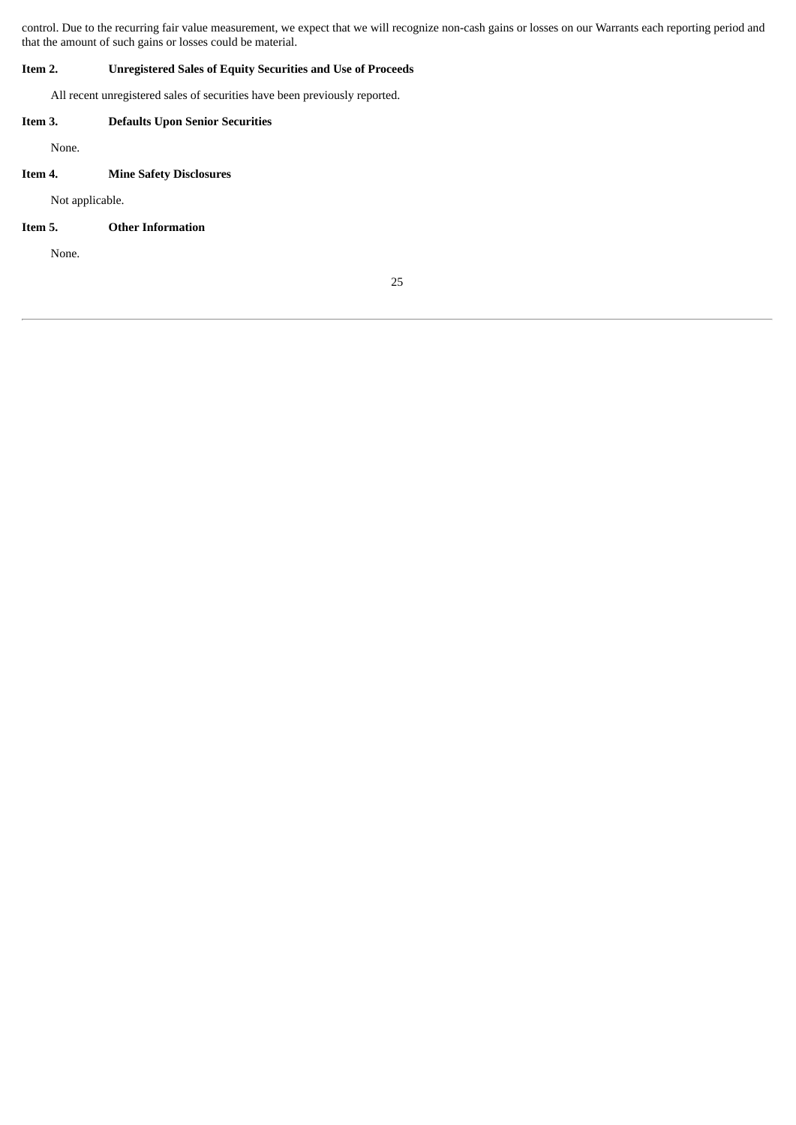control. Due to the recurring fair value measurement, we expect that we will recognize non-cash gains or losses on our Warrants each reporting period and that the amount of such gains or losses could be material.

# **Item 2. Unregistered Sales of Equity Securities and Use of Proceeds**

<span id="page-25-1"></span><span id="page-25-0"></span>All recent unregistered sales of securities have been previously reported.

# **Item 3. Defaults Upon Senior Securities** None.

# **Item 4. Mine Safety Disclosures**

<span id="page-25-3"></span><span id="page-25-2"></span>Not applicable.

# **Item 5. Other Information**

None.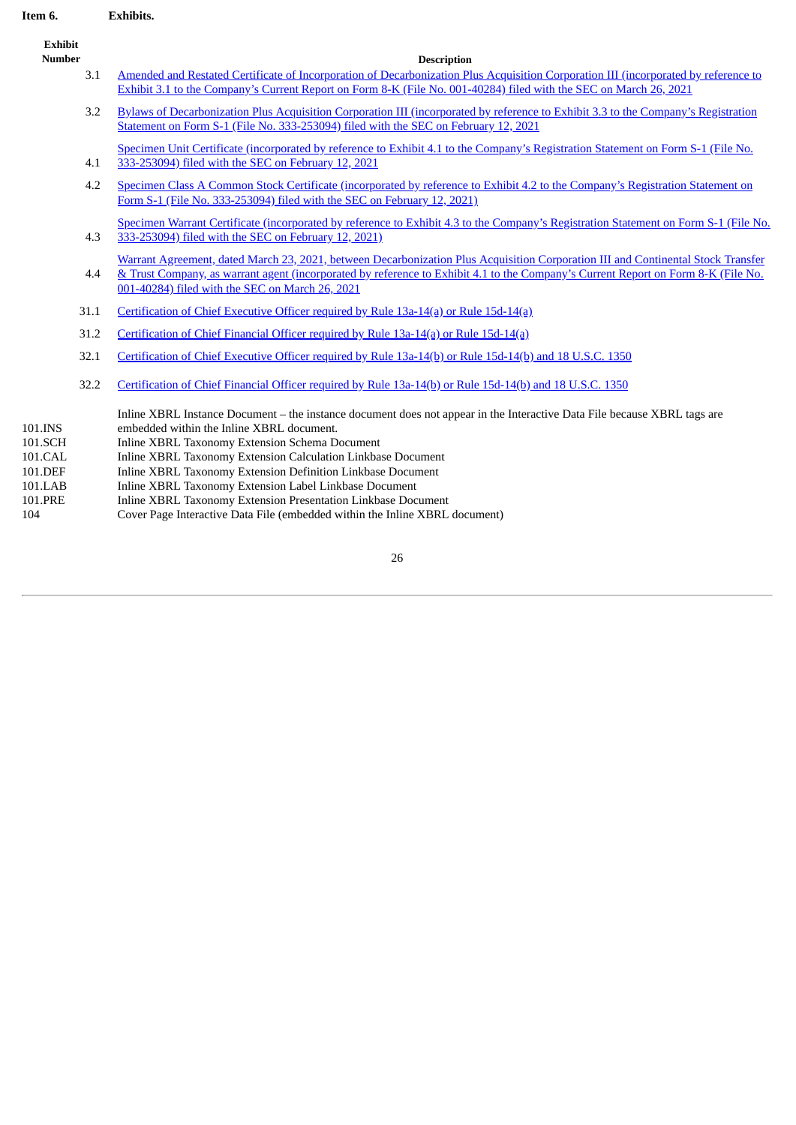# **Item 6. Exhibits.**

<span id="page-26-0"></span>

| item 6.                                             |      | <b>EXNIDITS.</b>                                                                                                                                                                                                                                                                                                                                                                                                 |
|-----------------------------------------------------|------|------------------------------------------------------------------------------------------------------------------------------------------------------------------------------------------------------------------------------------------------------------------------------------------------------------------------------------------------------------------------------------------------------------------|
| <b>Exhibit</b><br><b>Number</b>                     |      | <b>Description</b>                                                                                                                                                                                                                                                                                                                                                                                               |
|                                                     | 3.1  | Amended and Restated Certificate of Incorporation of Decarbonization Plus Acquisition Corporation III (incorporated by reference to<br>Exhibit 3.1 to the Company's Current Report on Form 8-K (File No. 001-40284) filed with the SEC on March 26, 2021                                                                                                                                                         |
|                                                     | 3.2  | Bylaws of Decarbonization Plus Acquisition Corporation III (incorporated by reference to Exhibit 3.3 to the Company's Registration<br>Statement on Form S-1 (File No. 333-253094) filed with the SEC on February 12, 2021                                                                                                                                                                                        |
|                                                     | 4.1  | Specimen Unit Certificate (incorporated by reference to Exhibit 4.1 to the Company's Registration Statement on Form S-1 (File No.<br>333-253094) filed with the SEC on February 12, 2021                                                                                                                                                                                                                         |
|                                                     | 4.2  | Specimen Class A Common Stock Certificate (incorporated by reference to Exhibit 4.2 to the Company's Registration Statement on<br>Form S-1 (File No. 333-253094) filed with the SEC on February 12, 2021)                                                                                                                                                                                                        |
|                                                     | 4.3  | Specimen Warrant Certificate (incorporated by reference to Exhibit 4.3 to the Company's Registration Statement on Form S-1 (File No.<br>333-253094) filed with the SEC on February 12, 2021)                                                                                                                                                                                                                     |
|                                                     | 4.4  | Warrant Agreement, dated March 23, 2021, between Decarbonization Plus Acquisition Corporation III and Continental Stock Transfer<br>& Trust Company, as warrant agent (incorporated by reference to Exhibit 4.1 to the Company's Current Report on Form 8-K (File No.<br>001-40284) filed with the SEC on March 26, 2021                                                                                         |
|                                                     | 31.1 | Certification of Chief Executive Officer required by Rule 13a-14(a) or Rule 15d-14(a)                                                                                                                                                                                                                                                                                                                            |
|                                                     | 31.2 | Certification of Chief Financial Officer required by Rule 13a-14(a) or Rule 15d-14(a)                                                                                                                                                                                                                                                                                                                            |
|                                                     | 32.1 | Certification of Chief Executive Officer required by Rule 13a-14(b) or Rule 15d-14(b) and 18 U.S.C. 1350                                                                                                                                                                                                                                                                                                         |
|                                                     | 32.2 | Certification of Chief Financial Officer required by Rule 13a-14(b) or Rule 15d-14(b) and 18 U.S.C. 1350                                                                                                                                                                                                                                                                                                         |
| 101.INS<br>101.SCH<br>101.CAL<br>101.DEF<br>101.LAB |      | Inline XBRL Instance Document – the instance document does not appear in the Interactive Data File because XBRL tags are<br>embedded within the Inline XBRL document.<br>Inline XBRL Taxonomy Extension Schema Document<br>Inline XBRL Taxonomy Extension Calculation Linkbase Document<br>Inline XBRL Taxonomy Extension Definition Linkbase Document<br>Inline XBRL Taxonomy Extension Label Linkbase Document |
| 101.PRE                                             |      | Inline XBRL Taxonomy Extension Presentation Linkbase Document                                                                                                                                                                                                                                                                                                                                                    |

104 Cover Page Interactive Data File (embedded within the Inline XBRL document)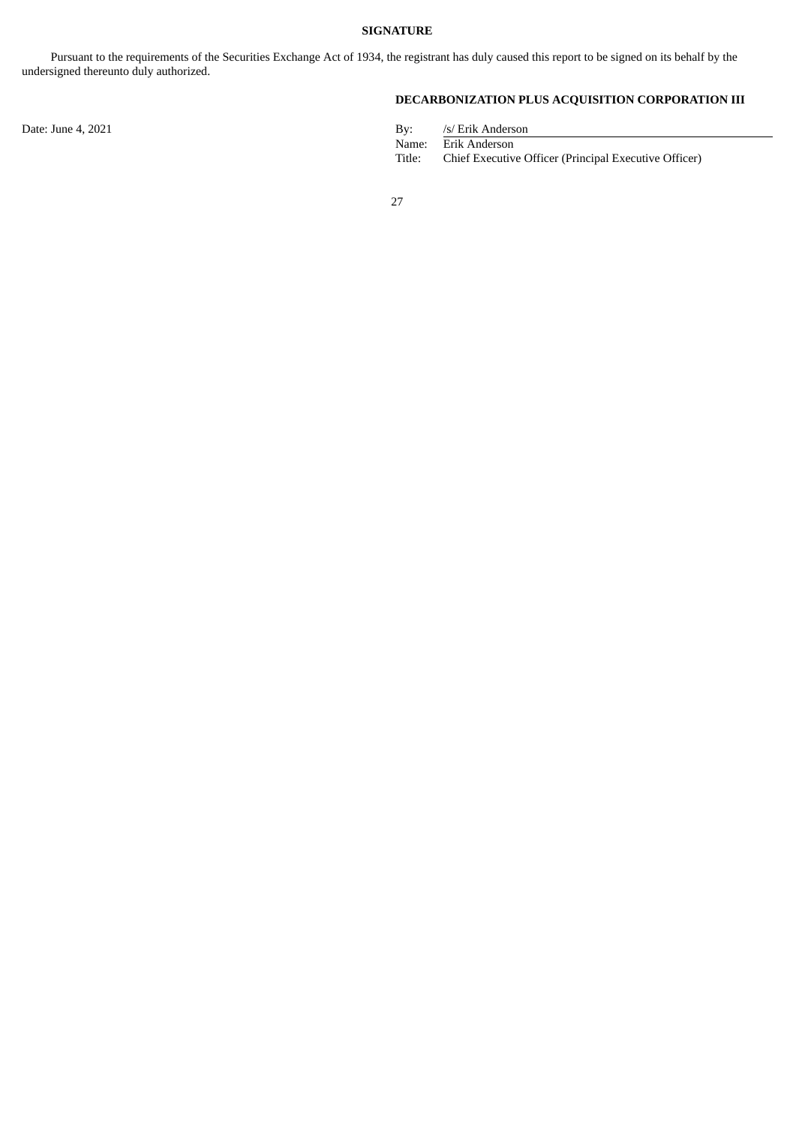<span id="page-27-0"></span>Pursuant to the requirements of the Securities Exchange Act of 1934, the registrant has duly caused this report to be signed on its behalf by the undersigned thereunto duly authorized.

**DECARBONIZATION PLUS ACQUISITION CORPORATION III**

| By:    | /s/ Erik Anderson                                     |
|--------|-------------------------------------------------------|
| Name:  | Erik Anderson                                         |
| Title: | Chief Executive Officer (Principal Executive Officer) |

27

Date: June 4, 2021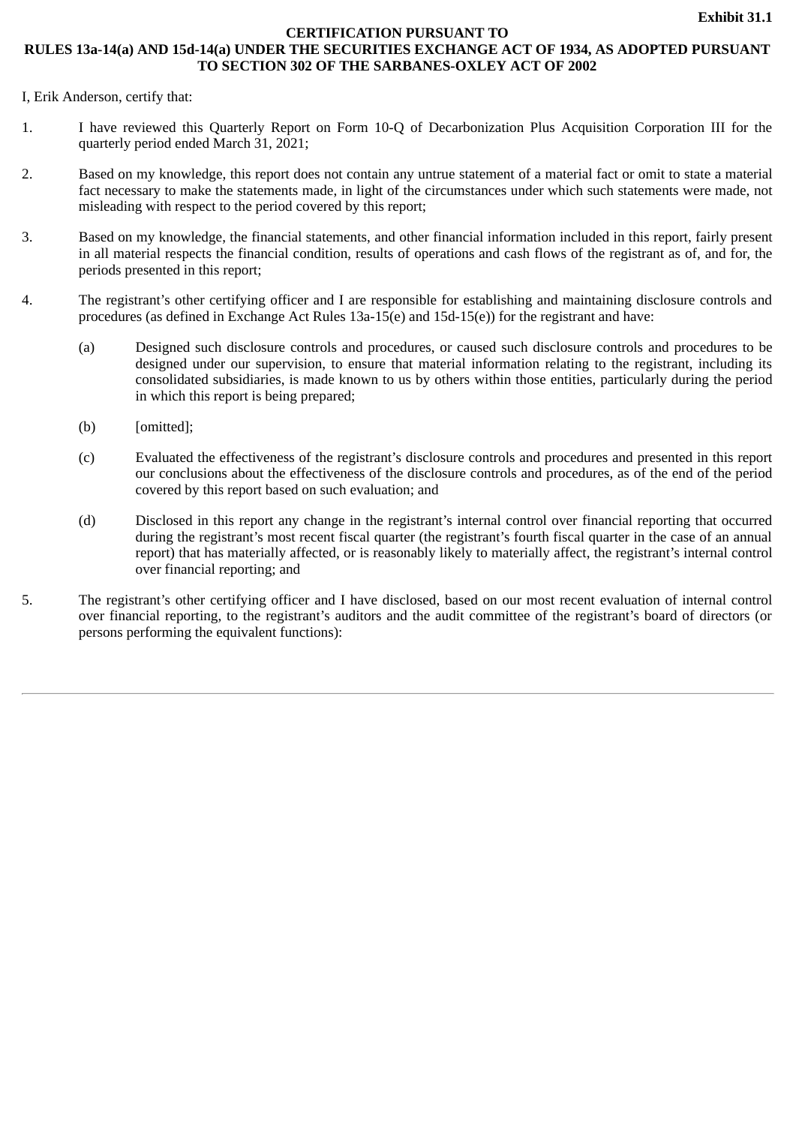# **CERTIFICATION PURSUANT TO**

# **RULES 13a-14(a) AND 15d-14(a) UNDER THE SECURITIES EXCHANGE ACT OF 1934, AS ADOPTED PURSUANT TO SECTION 302 OF THE SARBANES-OXLEY ACT OF 2002**

I, Erik Anderson, certify that:

- 1. I have reviewed this Quarterly Report on Form 10-Q of Decarbonization Plus Acquisition Corporation III for the quarterly period ended March 31, 2021;
- 2. Based on my knowledge, this report does not contain any untrue statement of a material fact or omit to state a material fact necessary to make the statements made, in light of the circumstances under which such statements were made, not misleading with respect to the period covered by this report;
- 3. Based on my knowledge, the financial statements, and other financial information included in this report, fairly present in all material respects the financial condition, results of operations and cash flows of the registrant as of, and for, the periods presented in this report;
- 4. The registrant's other certifying officer and I are responsible for establishing and maintaining disclosure controls and procedures (as defined in Exchange Act Rules 13a-15(e) and 15d-15(e)) for the registrant and have:
	- (a) Designed such disclosure controls and procedures, or caused such disclosure controls and procedures to be designed under our supervision, to ensure that material information relating to the registrant, including its consolidated subsidiaries, is made known to us by others within those entities, particularly during the period in which this report is being prepared;
	- (b) [omitted];
	- (c) Evaluated the effectiveness of the registrant's disclosure controls and procedures and presented in this report our conclusions about the effectiveness of the disclosure controls and procedures, as of the end of the period covered by this report based on such evaluation; and
	- (d) Disclosed in this report any change in the registrant's internal control over financial reporting that occurred during the registrant's most recent fiscal quarter (the registrant's fourth fiscal quarter in the case of an annual report) that has materially affected, or is reasonably likely to materially affect, the registrant's internal control over financial reporting; and
- 5. The registrant's other certifying officer and I have disclosed, based on our most recent evaluation of internal control over financial reporting, to the registrant's auditors and the audit committee of the registrant's board of directors (or persons performing the equivalent functions):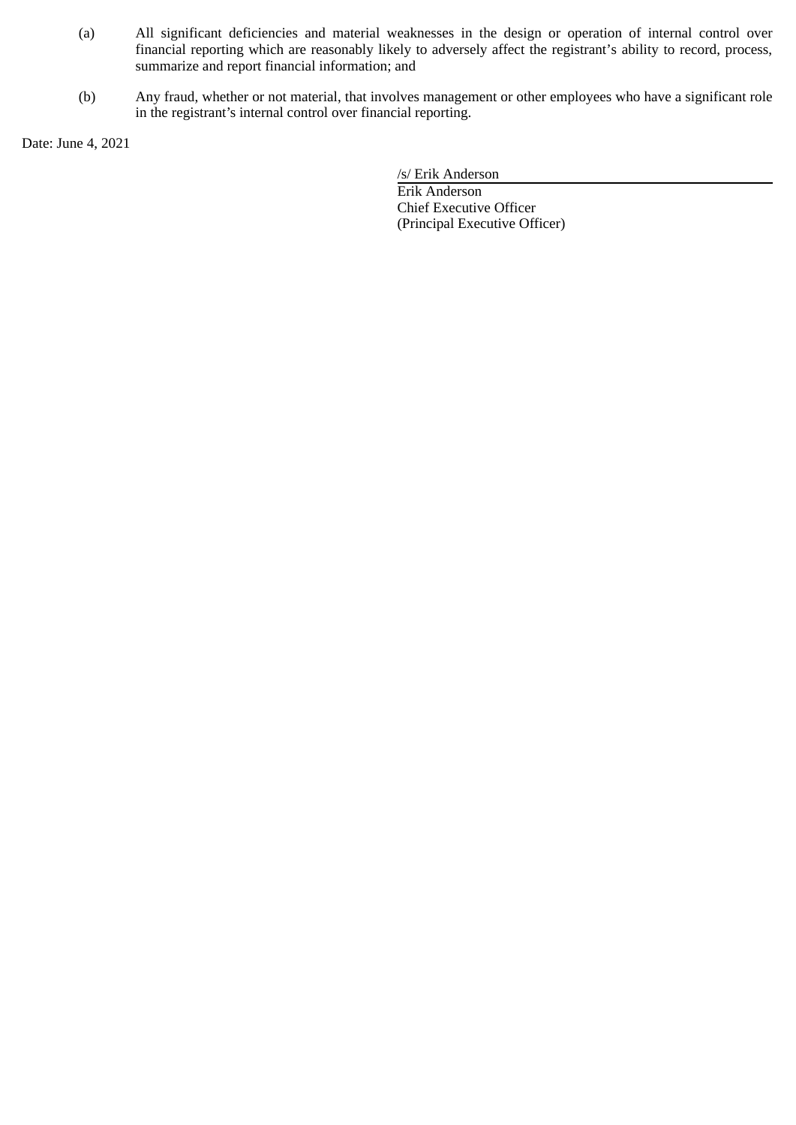- (a) All significant deficiencies and material weaknesses in the design or operation of internal control over financial reporting which are reasonably likely to adversely affect the registrant's ability to record, process, summarize and report financial information; and
- (b) Any fraud, whether or not material, that involves management or other employees who have a significant role in the registrant's internal control over financial reporting.

Date: June 4, 2021

/s/ Erik Anderson

Erik Anderson Chief Executive Officer (Principal Executive Officer)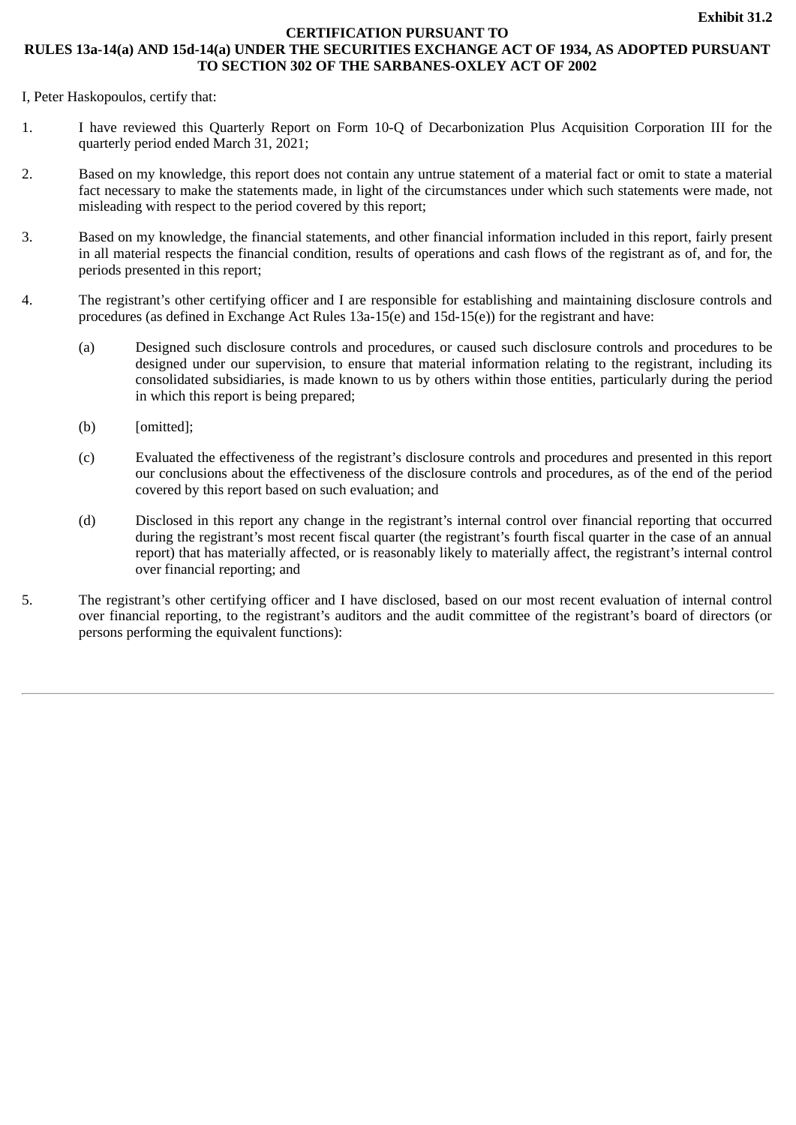# **CERTIFICATION PURSUANT TO**

# **RULES 13a-14(a) AND 15d-14(a) UNDER THE SECURITIES EXCHANGE ACT OF 1934, AS ADOPTED PURSUANT TO SECTION 302 OF THE SARBANES-OXLEY ACT OF 2002**

I, Peter Haskopoulos, certify that:

- 1. I have reviewed this Quarterly Report on Form 10-Q of Decarbonization Plus Acquisition Corporation III for the quarterly period ended March 31, 2021;
- 2. Based on my knowledge, this report does not contain any untrue statement of a material fact or omit to state a material fact necessary to make the statements made, in light of the circumstances under which such statements were made, not misleading with respect to the period covered by this report;
- 3. Based on my knowledge, the financial statements, and other financial information included in this report, fairly present in all material respects the financial condition, results of operations and cash flows of the registrant as of, and for, the periods presented in this report;
- 4. The registrant's other certifying officer and I are responsible for establishing and maintaining disclosure controls and procedures (as defined in Exchange Act Rules 13a-15(e) and 15d-15(e)) for the registrant and have:
	- (a) Designed such disclosure controls and procedures, or caused such disclosure controls and procedures to be designed under our supervision, to ensure that material information relating to the registrant, including its consolidated subsidiaries, is made known to us by others within those entities, particularly during the period in which this report is being prepared;
	- (b) [omitted];
	- (c) Evaluated the effectiveness of the registrant's disclosure controls and procedures and presented in this report our conclusions about the effectiveness of the disclosure controls and procedures, as of the end of the period covered by this report based on such evaluation; and
	- (d) Disclosed in this report any change in the registrant's internal control over financial reporting that occurred during the registrant's most recent fiscal quarter (the registrant's fourth fiscal quarter in the case of an annual report) that has materially affected, or is reasonably likely to materially affect, the registrant's internal control over financial reporting; and
- 5. The registrant's other certifying officer and I have disclosed, based on our most recent evaluation of internal control over financial reporting, to the registrant's auditors and the audit committee of the registrant's board of directors (or persons performing the equivalent functions):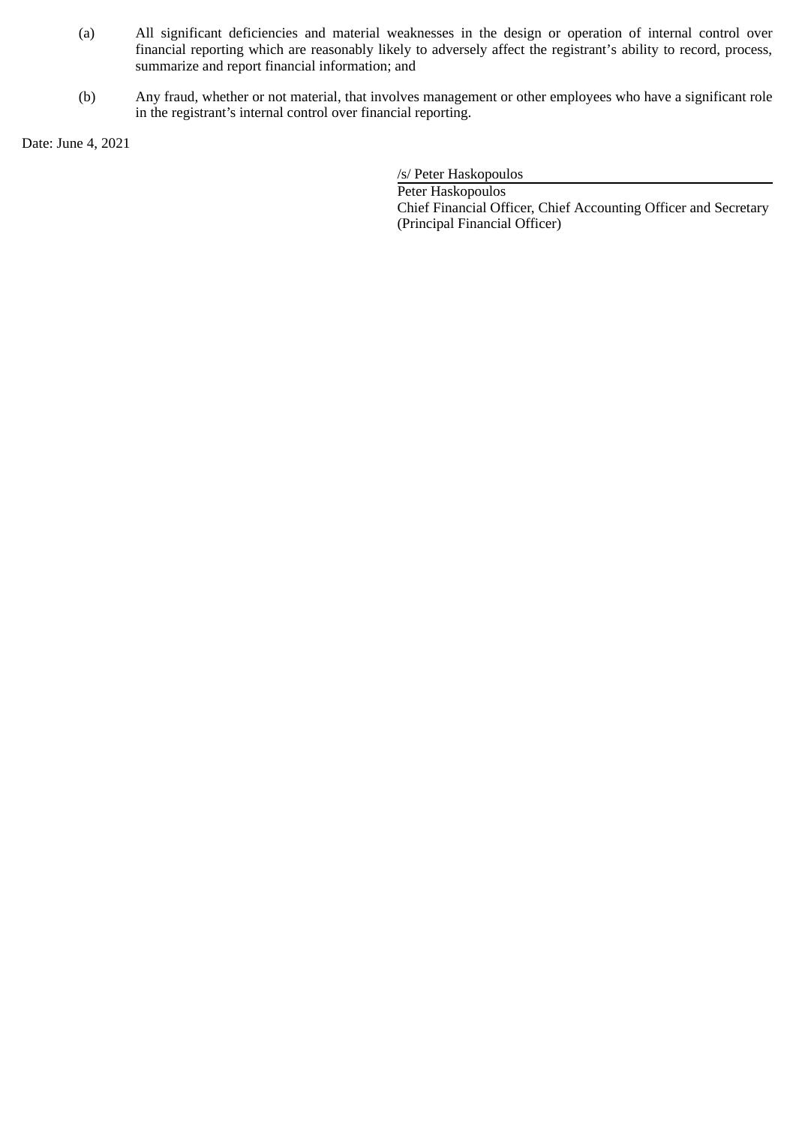- (a) All significant deficiencies and material weaknesses in the design or operation of internal control over financial reporting which are reasonably likely to adversely affect the registrant's ability to record, process, summarize and report financial information; and
- (b) Any fraud, whether or not material, that involves management or other employees who have a significant role in the registrant's internal control over financial reporting.

Date: June 4, 2021

/s/ Peter Haskopoulos

Peter Haskopoulos Chief Financial Officer, Chief Accounting Officer and Secretary (Principal Financial Officer)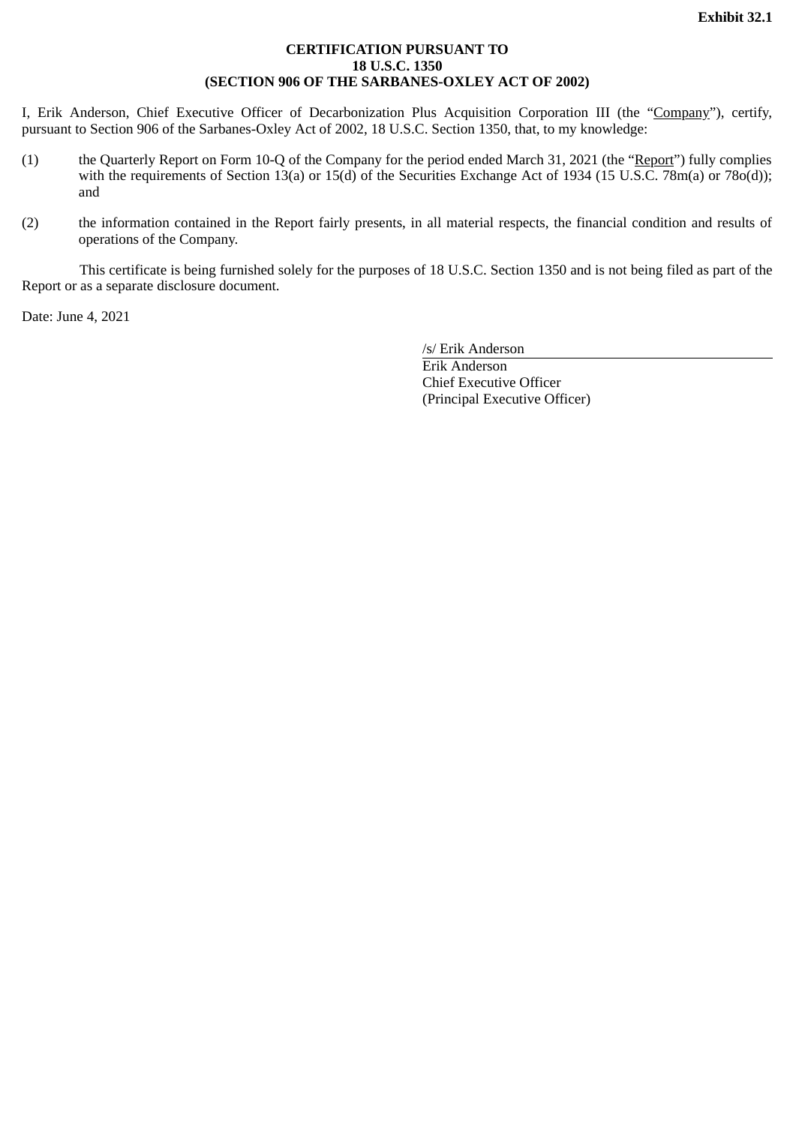# **CERTIFICATION PURSUANT TO 18 U.S.C. 1350 (SECTION 906 OF THE SARBANES-OXLEY ACT OF 2002)**

I, Erik Anderson, Chief Executive Officer of Decarbonization Plus Acquisition Corporation III (the "Company"), certify, pursuant to Section 906 of the Sarbanes-Oxley Act of 2002, 18 U.S.C. Section 1350, that, to my knowledge:

- (1) the Quarterly Report on Form 10-Q of the Company for the period ended March 31, 2021 (the "Report") fully complies with the requirements of Section 13(a) or 15(d) of the Securities Exchange Act of 1934 (15 U.S.C. 78m(a) or 78o(d)); and
- (2) the information contained in the Report fairly presents, in all material respects, the financial condition and results of operations of the Company.

This certificate is being furnished solely for the purposes of 18 U.S.C. Section 1350 and is not being filed as part of the Report or as a separate disclosure document.

Date: June 4, 2021

/s/ Erik Anderson

Erik Anderson Chief Executive Officer (Principal Executive Officer)